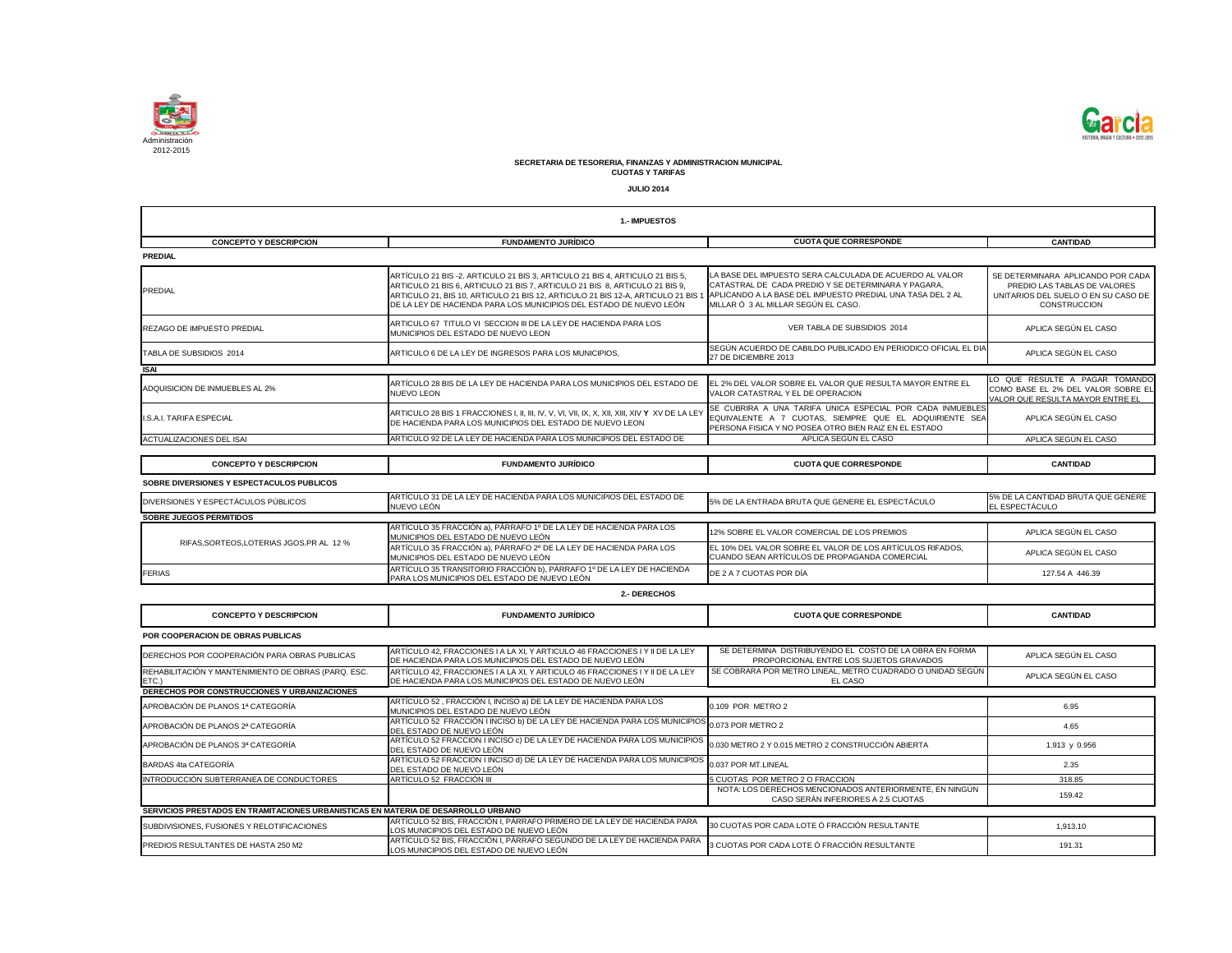

|                                                                                   | 1.- IMPUESTOS                                                                                                                                                                                                                                                                                                                                                                    |                                                                                                                                                                              |                                                                                                                                 |
|-----------------------------------------------------------------------------------|----------------------------------------------------------------------------------------------------------------------------------------------------------------------------------------------------------------------------------------------------------------------------------------------------------------------------------------------------------------------------------|------------------------------------------------------------------------------------------------------------------------------------------------------------------------------|---------------------------------------------------------------------------------------------------------------------------------|
| <b>CONCEPTO Y DESCRIPCION</b>                                                     | <b>FUNDAMENTO JURÍDICO</b>                                                                                                                                                                                                                                                                                                                                                       | <b>CUOTA QUE CORRESPONDE</b>                                                                                                                                                 | <b>CANTIDAD</b>                                                                                                                 |
| <b>PREDIAL</b>                                                                    |                                                                                                                                                                                                                                                                                                                                                                                  |                                                                                                                                                                              |                                                                                                                                 |
| PREDIAL                                                                           | ARTÍCULO 21 BIS -2. ARTICULO 21 BIS 3, ARTICULO 21 BIS 4, ARTICULO 21 BIS 5,<br>ARTICULO 21 BIS 6, ARTICULO 21 BIS 7, ARTICULO 21 BIS 8, ARTICULO 21 BIS 9,<br>ARTICULO 21, BIS 10, ARTICULO 21 BIS 12, ARTICULO 21 BIS 12-A, ARTICULO 21 BIS 1 APLICANDO A LA BASE DEL IMPUESTO PREDIAL UNA TASA DEL 2 AL<br>DE LA LEY DE HACIENDA PARA LOS MUNICIPIOS DEL ESTADO DE NUEVO LEÓN | LA BASE DEL IMPUESTO SERA CALCULADA DE ACUERDO AL VALOR<br>CATASTRAL DE CADA PREDIO Y SE DETERMINARA Y PAGARA,<br>MILLAR Ó 3 AL MILLAR SEGÚN EL CASO.                        | SE DETERMINARA APLICANDO POR CADA<br>PREDIO LAS TABLAS DE VALORES<br>UNITARIOS DEL SUELO O EN SU CASO DE<br><b>CONSTRUCCION</b> |
| <b>REZAGO DE IMPUESTO PREDIAL</b>                                                 | ARTICULO 67 TITULO VI SECCION III DE LA LEY DE HACIENDA PARA LOS<br>MUNICIPIOS DEL ESTADO DE NUEVO LEON                                                                                                                                                                                                                                                                          | VER TABLA DE SUBSIDIOS 2014                                                                                                                                                  | APLICA SEGÚN EL CASO                                                                                                            |
| TABLA DE SUBSIDIOS 2014                                                           | ARTICULO 6 DE LA LEY DE INGRESOS PARA LOS MUNICIPIOS,                                                                                                                                                                                                                                                                                                                            | SEGÚN ACUERDO DE CABILDO PUBLICADO EN PERIODICO OFICIAL EL DIA<br>27 DE DICIEMBRE 2013                                                                                       | APLICA SEGÚN EL CASO                                                                                                            |
| <b>ISAI</b>                                                                       |                                                                                                                                                                                                                                                                                                                                                                                  |                                                                                                                                                                              |                                                                                                                                 |
| ADQUISICION DE INMUEBLES AL 2%                                                    | ARTÍCULO 28 BIS DE LA LEY DE HACIENDA PARA LOS MUNICIPIOS DEL ESTADO DE<br><b>NUEVO LEON</b>                                                                                                                                                                                                                                                                                     | EL 2% DEL VALOR SOBRE EL VALOR QUE RESULTA MAYOR ENTRE EL<br>VALOR CATASTRAL Y EL DE OPERACION                                                                               | LO QUE RESULTE A PAGAR TOMANDO<br>COMO BASE EL 2% DEL VALOR SOBRE EL<br>VALOR QUE RESULTA MAYOR ENTRE EL                        |
| I.S.A.I. TARIFA ESPECIAL                                                          | DE HACIENDA PARA LOS MUNICIPIOS DEL ESTADO DE NUEVO LEON                                                                                                                                                                                                                                                                                                                         | SE CUBRIRA A UNA TARIFA UNICA ESPECIAL POR CADA INMUEBLES<br>EQUIVALENTE A 7 CUOTAS, SIEMPRE QUE EL ADQUIRIENTE SEA<br>PERSONA FISICA Y NO POSEA OTRO BIEN RAIZ EN EL ESTADO | APLICA SEGÚN EL CASO                                                                                                            |
| ACTUALIZACIONES DEL ISAI                                                          | ARTICULO 92 DE LA LEY DE HACIENDA PARA LOS MUNICIPIOS DEL ESTADO DE                                                                                                                                                                                                                                                                                                              | APLICA SEGÚN EL CASO                                                                                                                                                         | APLICA SEGÚN EL CASO                                                                                                            |
|                                                                                   |                                                                                                                                                                                                                                                                                                                                                                                  |                                                                                                                                                                              |                                                                                                                                 |
| <b>CONCEPTO Y DESCRIPCION</b>                                                     | <b>FUNDAMENTO JURÍDICO</b>                                                                                                                                                                                                                                                                                                                                                       | <b>CUOTA QUE CORRESPONDE</b>                                                                                                                                                 | <b>CANTIDAD</b>                                                                                                                 |
| SOBRE DIVERSIONES Y ESPECTACULOS PUBLICOS                                         |                                                                                                                                                                                                                                                                                                                                                                                  |                                                                                                                                                                              |                                                                                                                                 |
| DIVERSIONES Y ESPECTÁCULOS PÚBLICOS                                               | ARTÍCULO 31 DE LA LEY DE HACIENDA PARA LOS MUNICIPIOS DEL ESTADO DE<br>NUEVO LEÓN                                                                                                                                                                                                                                                                                                | 5% DE LA ENTRADA BRUTA QUE GENERE EL ESPECTÁCULO                                                                                                                             | 5% DE LA CANTIDAD BRUTA QUE GENERE<br><b>EL ESPECTÁCULO</b>                                                                     |
| <b>SOBRE JUEGOS PERMITIDOS</b>                                                    | ARTÍCULO 35 FRACCIÓN a), PÁRRAFO 1º DE LA LEY DE HACIENDA PARA LOS                                                                                                                                                                                                                                                                                                               |                                                                                                                                                                              |                                                                                                                                 |
| RIFAS, SORTEOS, LOTERIAS JGOS.PR AL 12 %                                          | MUNICIPIOS DEL ESTADO DE NUEVO LEÓN<br>ARTÍCULO 35 FRACCIÓN a), PÁRRAFO 2º DE LA LEY DE HACIENDA PARA LOS                                                                                                                                                                                                                                                                        | 12% SOBRE EL VALOR COMERCIAL DE LOS PREMIOS<br>EL 10% DEL VALOR SOBRE EL VALOR DE LOS ARTÍCULOS RIFADOS,                                                                     | APLICA SEGÚN EL CASO<br>APLICA SEGÚN EL CASO                                                                                    |
|                                                                                   | MUNICIPIOS DEL ESTADO DE NUEVO LEÓN                                                                                                                                                                                                                                                                                                                                              | CUANDO SEAN ARTÍCULOS DE PROPAGANDA COMERCIAL                                                                                                                                |                                                                                                                                 |
| <b>FERIAS</b>                                                                     | ARTÍCULO 35 TRANSITORIO FRACCIÓN b), PÁRRAFO 1º DE LA LEY DE HACIENDA<br>PARA LOS MUNICIPIOS DEL ESTADO DE NUEVO LEÓN                                                                                                                                                                                                                                                            | DE 2 A 7 CUOTAS POR DÍA                                                                                                                                                      | 127.54 A 446.39                                                                                                                 |
|                                                                                   | 2.- DERECHOS                                                                                                                                                                                                                                                                                                                                                                     |                                                                                                                                                                              |                                                                                                                                 |
| <b>CONCEPTO Y DESCRIPCION</b>                                                     | <b>FUNDAMENTO JURÍDICO</b>                                                                                                                                                                                                                                                                                                                                                       | <b>CUOTA QUE CORRESPONDE</b>                                                                                                                                                 | <b>CANTIDAD</b>                                                                                                                 |
| POR COOPERACION DE OBRAS PUBLICAS                                                 |                                                                                                                                                                                                                                                                                                                                                                                  |                                                                                                                                                                              |                                                                                                                                 |
| DERECHOS POR COOPERACIÓN PARA OBRAS PUBLICAS                                      | ARTÍCULO 42, FRACCIONES I A LA XI, Y ARTICULO 46 FRACCIONES I Y II DE LA LEY<br>DE HACIENDA PARA LOS MUNICIPIOS DEL ESTADO DE NUEVO LEÓN                                                                                                                                                                                                                                         | SE DETERMINA DISTRIBUYENDO EL COSTO DE LA OBRA EN FORMA<br>PROPORCIONAL ENTRE LOS SUJETOS GRAVADOS                                                                           | APLICA SEGÚN EL CASO                                                                                                            |
| REHABILITACIÓN Y MANTENIMIENTO DE OBRAS (PARQ. ESC.<br>ETC.)                      | ARTÍCULO 42, FRACCIONES I A LA XI, Y ARTICULO 46 FRACCIONES I Y II DE LA LEY<br>DE HACIENDA PARA LOS MUNICIPIOS DEL ESTADO DE NUEVO LEÓN                                                                                                                                                                                                                                         | SE COBRARA POR METRO LINEAL, METRO CUADRADO O UNIDAD SEGUN<br>EL CASO                                                                                                        | APLICA SEGÚN EL CASO                                                                                                            |
| DERECHOS POR CONSTRUCCIONES Y URBANIZACIONES                                      |                                                                                                                                                                                                                                                                                                                                                                                  |                                                                                                                                                                              |                                                                                                                                 |
| APROBACIÓN DE PLANOS 1ª CATEGORÍA                                                 | ARTÍCULO 52, FRACCIÓN I, INCISO a) DE LA LEY DE HACIENDA PARA LOS<br>MUNICIPIOS DEL ESTADO DE NUEVO LEÓN                                                                                                                                                                                                                                                                         | 0.109 POR METRO 2                                                                                                                                                            | 6.95                                                                                                                            |
| APROBACIÓN DE PLANOS 2ª CATEGORÍA                                                 | ARTÍCULO 52 FRACCIÓN I INCISO b) DE LA LEY DE HACIENDA PARA LOS MUNICIPIOS<br>DEL ESTADO DE NUEVO LEÓN                                                                                                                                                                                                                                                                           | 0.073 POR METRO 2                                                                                                                                                            | 4.65                                                                                                                            |
| APROBACIÓN DE PLANOS 3ª CATEGORÍA                                                 | ARTÍCULO 52 FRACCION I INCISO c) DE LA LEY DE HACIENDA PARA LOS MUNICIPIOS<br>DEL ESTADO DE NUEVO LEÓN                                                                                                                                                                                                                                                                           | 0.030 METRO 2 Y 0.015 METRO 2 CONSTRUCCIÓN ABIERTA                                                                                                                           | 1.913 y 0.956                                                                                                                   |
| <b>BARDAS 4ta CATEGORÍA</b>                                                       | ARTÍCULO 52 FRACCION I INCISO d) DE LA LEY DE HACIENDA PARA LOS MUNICIPIOS<br>DEL ESTADO DE NUEVO LEÓN                                                                                                                                                                                                                                                                           | 0.037 POR MT.LINEAL                                                                                                                                                          | 2.35                                                                                                                            |
| INTRODUCCIÓN SUBTERRANEA DE CONDUCTORES                                           | ARTÍCULO 52 FRACCIÓN III                                                                                                                                                                                                                                                                                                                                                         | 5 CUOTAS POR METRO 2 O FRACCION                                                                                                                                              | 318.85                                                                                                                          |
|                                                                                   |                                                                                                                                                                                                                                                                                                                                                                                  | NOTA: LOS DERECHOS MENCIONADOS ANTERIORMENTE, EN NINGÚN<br>CASO SERÁN INFERIORES A 2.5 CUOTAS                                                                                | 159.42                                                                                                                          |
| SERVICIOS PRESTADOS EN TRAMITACIONES URBANISTICAS EN MATERIA DE DESARROLLO URBANO |                                                                                                                                                                                                                                                                                                                                                                                  |                                                                                                                                                                              |                                                                                                                                 |
| SUBDIVISIONES, FUSIONES Y RELOTIFICACIONES                                        | ARTÍCULO 52 BIS, FRACCIÓN I, PÁRRAFO PRIMERO DE LA LEY DE HACIENDA PARA<br>OS MUNICIDIOS DEL ESTADO DE NUEVO LEÓNI                                                                                                                                                                                                                                                               | 30 CUOTAS POR CADA LOTE Ó FRACCIÓN RESULTANTE                                                                                                                                | 1,913.10                                                                                                                        |

|                                                                                   | 1.- IMPUESTOS                                                                                                                                                                                                                                                                                                                                                                    |                                                                                                                                                                              |                                                                                                                                 |
|-----------------------------------------------------------------------------------|----------------------------------------------------------------------------------------------------------------------------------------------------------------------------------------------------------------------------------------------------------------------------------------------------------------------------------------------------------------------------------|------------------------------------------------------------------------------------------------------------------------------------------------------------------------------|---------------------------------------------------------------------------------------------------------------------------------|
| <b>CONCEPTO Y DESCRIPCION</b>                                                     | <b>FUNDAMENTO JURÍDICO</b>                                                                                                                                                                                                                                                                                                                                                       | <b>CUOTA QUE CORRESPONDE</b>                                                                                                                                                 | <b>CANTIDAD</b>                                                                                                                 |
| <b>PREDIAL</b>                                                                    |                                                                                                                                                                                                                                                                                                                                                                                  |                                                                                                                                                                              |                                                                                                                                 |
| PREDIAL                                                                           | ARTÍCULO 21 BIS -2. ARTICULO 21 BIS 3, ARTICULO 21 BIS 4, ARTICULO 21 BIS 5,<br>ARTICULO 21 BIS 6, ARTICULO 21 BIS 7, ARTICULO 21 BIS 8, ARTICULO 21 BIS 9,<br>ARTICULO 21, BIS 10, ARTICULO 21 BIS 12, ARTICULO 21 BIS 12-A, ARTICULO 21 BIS 1 APLICANDO A LA BASE DEL IMPUESTO PREDIAL UNA TASA DEL 2 AL<br>DE LA LEY DE HACIENDA PARA LOS MUNICIPIOS DEL ESTADO DE NUEVO LEÓN | LA BASE DEL IMPUESTO SERA CALCULADA DE ACUERDO AL VALOR<br>CATASTRAL DE CADA PREDIO Y SE DETERMINARA Y PAGARA,<br>MILLAR Ó 3 AL MILLAR SEGÚN EL CASO.                        | SE DETERMINARA APLICANDO POR CADA<br>PREDIO LAS TABLAS DE VALORES<br>UNITARIOS DEL SUELO O EN SU CASO DE<br><b>CONSTRUCCION</b> |
| <b>REZAGO DE IMPUESTO PREDIAL</b>                                                 | ARTICULO 67 TITULO VI SECCION III DE LA LEY DE HACIENDA PARA LOS<br>MUNICIPIOS DEL ESTADO DE NUEVO LEON                                                                                                                                                                                                                                                                          | VER TABLA DE SUBSIDIOS 2014                                                                                                                                                  | APLICA SEGÚN EL CASO                                                                                                            |
| TABLA DE SUBSIDIOS 2014                                                           | ARTICULO 6 DE LA LEY DE INGRESOS PARA LOS MUNICIPIOS,                                                                                                                                                                                                                                                                                                                            | SEGÚN ACUERDO DE CABILDO PUBLICADO EN PERIODICO OFICIAL EL DIA<br>27 DE DICIEMBRE 2013                                                                                       | APLICA SEGÚN EL CASO                                                                                                            |
| <b>ISAI</b>                                                                       |                                                                                                                                                                                                                                                                                                                                                                                  |                                                                                                                                                                              |                                                                                                                                 |
| ADQUISICION DE INMUEBLES AL 2%                                                    | ARTÍCULO 28 BIS DE LA LEY DE HACIENDA PARA LOS MUNICIPIOS DEL ESTADO DE<br><b>NUEVO LEON</b>                                                                                                                                                                                                                                                                                     | EL 2% DEL VALOR SOBRE EL VALOR QUE RESULTA MAYOR ENTRE EL<br>VALOR CATASTRAL Y EL DE OPERACION                                                                               | LO QUE RESULTE A PAGAR TOMANDO<br>COMO BASE EL 2% DEL VALOR SOBRE EL<br>VALOR QUE RESULTA MAYOR ENTRE EL                        |
| <b>II.S.A.I. TARIFA ESPECIAL</b>                                                  | DE HACIENDA PARA LOS MUNICIPIOS DEL ESTADO DE NUEVO LEON                                                                                                                                                                                                                                                                                                                         | SE CUBRIRA A UNA TARIFA UNICA ESPECIAL POR CADA INMUEBLES<br>EQUIVALENTE A 7 CUOTAS, SIEMPRE QUE EL ADQUIRIENTE SEA<br>PERSONA FISICA Y NO POSEA OTRO BIEN RAIZ EN EL ESTADO | APLICA SEGÚN EL CASO                                                                                                            |
| ACTUALIZACIONES DEL ISAI                                                          | ARTICULO 92 DE LA LEY DE HACIENDA PARA LOS MUNICIPIOS DEL ESTADO DE                                                                                                                                                                                                                                                                                                              | APLICA SEGÚN EL CASO                                                                                                                                                         | APLICA SEGÚN EL CASO                                                                                                            |
|                                                                                   |                                                                                                                                                                                                                                                                                                                                                                                  |                                                                                                                                                                              |                                                                                                                                 |
| <b>CONCEPTO Y DESCRIPCION</b>                                                     | <b>FUNDAMENTO JURÍDICO</b>                                                                                                                                                                                                                                                                                                                                                       | <b>CUOTA QUE CORRESPONDE</b>                                                                                                                                                 | <b>CANTIDAD</b>                                                                                                                 |
| SOBRE DIVERSIONES Y ESPECTACULOS PUBLICOS                                         |                                                                                                                                                                                                                                                                                                                                                                                  |                                                                                                                                                                              |                                                                                                                                 |
| DIVERSIONES Y ESPECTÁCULOS PÚBLICOS                                               | ARTÍCULO 31 DE LA LEY DE HACIENDA PARA LOS MUNICIPIOS DEL ESTADO DE<br>NUEVO LEÓN                                                                                                                                                                                                                                                                                                | 5% DE LA ENTRADA BRUTA QUE GENERE EL ESPECTÁCULO                                                                                                                             | 5% DE LA CANTIDAD BRUTA QUE GENERE<br>EL ESPECTÁCULO                                                                            |
| <b>SOBRE JUEGOS PERMITIDOS</b>                                                    |                                                                                                                                                                                                                                                                                                                                                                                  |                                                                                                                                                                              |                                                                                                                                 |
| RIFAS, SORTEOS, LOTERIAS JGOS.PR AL 12 %                                          | ARTÍCULO 35 FRACCIÓN a), PÁRRAFO 1º DE LA LEY DE HACIENDA PARA LOS<br>MUNICIPIOS DEL ESTADO DE NUEVO LEÓN                                                                                                                                                                                                                                                                        | 12% SOBRE EL VALOR COMERCIAL DE LOS PREMIOS                                                                                                                                  | APLICA SEGÚN EL CASO                                                                                                            |
|                                                                                   | ARTÍCULO 35 FRACCIÓN a), PÁRRAFO 2º DE LA LEY DE HACIENDA PARA LOS<br>MUNICIPIOS DEL ESTADO DE NUEVO LEÓN                                                                                                                                                                                                                                                                        | EL 10% DEL VALOR SOBRE EL VALOR DE LOS ARTÍCULOS RIFADOS,<br>CUANDO SEAN ARTÍCULOS DE PROPAGANDA COMERCIAL                                                                   | APLICA SEGÚN EL CASO                                                                                                            |
| <b>FERIAS</b>                                                                     | ARTÍCULO 35 TRANSITORIO FRACCIÓN b), PÁRRAFO 1º DE LA LEY DE HACIENDA<br>PARA LOS MUNICIPIOS DEL ESTADO DE NUEVO LEÓN                                                                                                                                                                                                                                                            | DE 2 A 7 CUOTAS POR DÍA                                                                                                                                                      | 127.54 A 446.39                                                                                                                 |
|                                                                                   | 2.- DERECHOS                                                                                                                                                                                                                                                                                                                                                                     |                                                                                                                                                                              |                                                                                                                                 |
| <b>CONCEPTO Y DESCRIPCION</b>                                                     | <b>FUNDAMENTO JURÍDICO</b>                                                                                                                                                                                                                                                                                                                                                       | <b>CUOTA QUE CORRESPONDE</b>                                                                                                                                                 | <b>CANTIDAD</b>                                                                                                                 |
| POR COOPERACION DE OBRAS PUBLICAS                                                 |                                                                                                                                                                                                                                                                                                                                                                                  |                                                                                                                                                                              |                                                                                                                                 |
| DERECHOS POR COOPERACIÓN PARA OBRAS PUBLICAS                                      | ARTÍCULO 42, FRACCIONES I A LA XI, Y ARTICULO 46 FRACCIONES I Y II DE LA LEY<br>DE HACIENDA PARA LOS MUNICIPIOS DEL ESTADO DE NUEVO LEÓN                                                                                                                                                                                                                                         | SE DETERMINA DISTRIBUYENDO EL COSTO DE LA OBRA EN FORMA<br>PROPORCIONAL ENTRE LOS SUJETOS GRAVADOS                                                                           | APLICA SEGÚN EL CASO                                                                                                            |
| REHABILITACIÓN Y MANTENIMIENTO DE OBRAS (PARQ. ESC.<br>$ETC$ .)                   | ARTÍCULO 42, FRACCIONES I A LA XI, Y ARTICULO 46 FRACCIONES I Y II DE LA LEY<br>DE HACIENDA PARA LOS MUNICIPIOS DEL ESTADO DE NUEVO LEÓN                                                                                                                                                                                                                                         | SE COBRARA POR METRO LINEAL, METRO CUADRADO O UNIDAD SEGÚN<br>EL CASO                                                                                                        | APLICA SEGÚN EL CASO                                                                                                            |
| <b>DERECHOS POR CONSTRUCCIONES Y URBANIZACIONES</b>                               |                                                                                                                                                                                                                                                                                                                                                                                  |                                                                                                                                                                              |                                                                                                                                 |
| APROBACIÓN DE PLANOS 1ª CATEGORÍA                                                 | ARTÍCULO 52, FRACCIÓN I, INCISO a) DE LA LEY DE HACIENDA PARA LOS<br>MUNICIPIOS DEL ESTADO DE NUEVO LEÓN                                                                                                                                                                                                                                                                         | 0.109 POR METRO 2                                                                                                                                                            | 6.95                                                                                                                            |
| APROBACIÓN DE PLANOS 2ª CATEGORÍA                                                 | ARTÍCULO 52 FRACCIÓN I INCISO b) DE LA LEY DE HACIENDA PARA LOS MUNICIPIOS<br>DEL ESTADO DE NUEVO LEÓN                                                                                                                                                                                                                                                                           | 0.073 POR METRO 2                                                                                                                                                            | 4.65                                                                                                                            |
| APROBACIÓN DE PLANOS 3ª CATEGORÍA                                                 | ARTÍCULO 52 FRACCION I INCISO c) DE LA LEY DE HACIENDA PARA LOS MUNICIPIOS<br>DEL ESTADO DE NUEVO LEÓN                                                                                                                                                                                                                                                                           | 0.030 METRO 2 Y 0.015 METRO 2 CONSTRUCCIÓN ABIERTA                                                                                                                           | 1.913 y 0.956                                                                                                                   |
| BARDAS 4ta CATEGORÍA                                                              | ARTÍCULO 52 FRACCION I INCISO d) DE LA LEY DE HACIENDA PARA LOS MUNICIPIOS<br>DEL ESTADO DE NUEVO LEÓN                                                                                                                                                                                                                                                                           | 0.037 POR MT.LINEAL                                                                                                                                                          | 2.35                                                                                                                            |
| INTRODUCCIÓN SUBTERRANEA DE CONDUCTORES                                           | ARTÍCULO 52 FRACCIÓN III                                                                                                                                                                                                                                                                                                                                                         | 5 CUOTAS POR METRO 2 O FRACCION                                                                                                                                              | 318.85                                                                                                                          |
|                                                                                   |                                                                                                                                                                                                                                                                                                                                                                                  | NOTA: LOS DERECHOS MENCIONADOS ANTERIORMENTE, EN NINGÚN<br>CASO SERÁN INFERIORES A 2.5 CUOTAS                                                                                | 159.42                                                                                                                          |
| SERVICIOS PRESTADOS EN TRAMITACIONES URBANISTICAS EN MATERIA DE DESARROLLO URBANO |                                                                                                                                                                                                                                                                                                                                                                                  |                                                                                                                                                                              |                                                                                                                                 |
| SUBDIVISIONES, FUSIONES Y RELOTIFICACIONES                                        | ARTÍCULO 52 BIS, FRACCIÓN I, PÁRRAFO PRIMERO DE LA LEY DE HACIENDA PARA<br>LOS MUNICIPIOS DEL ESTADO DE NUEVO LEÓN                                                                                                                                                                                                                                                               | 30 CUOTAS POR CADA LOTE Ó FRACCIÓN RESULTANTE                                                                                                                                | 1,913.10                                                                                                                        |
| PREDIOS RESULTANTES DE HASTA 250 M2                                               | ARTÍCULO 52 BIS, FRACCIÓN I, PÁRRAFO SEGUNDO DE LA LEY DE HACIENDA PARA<br>LOS MUNICIPIOS DEL ESTADO DE NUEVO LEÓN                                                                                                                                                                                                                                                               | 3 CUOTAS POR CADA LOTE Ó FRACCIÓN RESULTANTE                                                                                                                                 | 191.31                                                                                                                          |



## **SECRETARIA DE TESORERIA, FINANZAS Y ADMINISTRACION MUNICIPAL CUOTAS Y TARIFAS**

**JULIO 2014**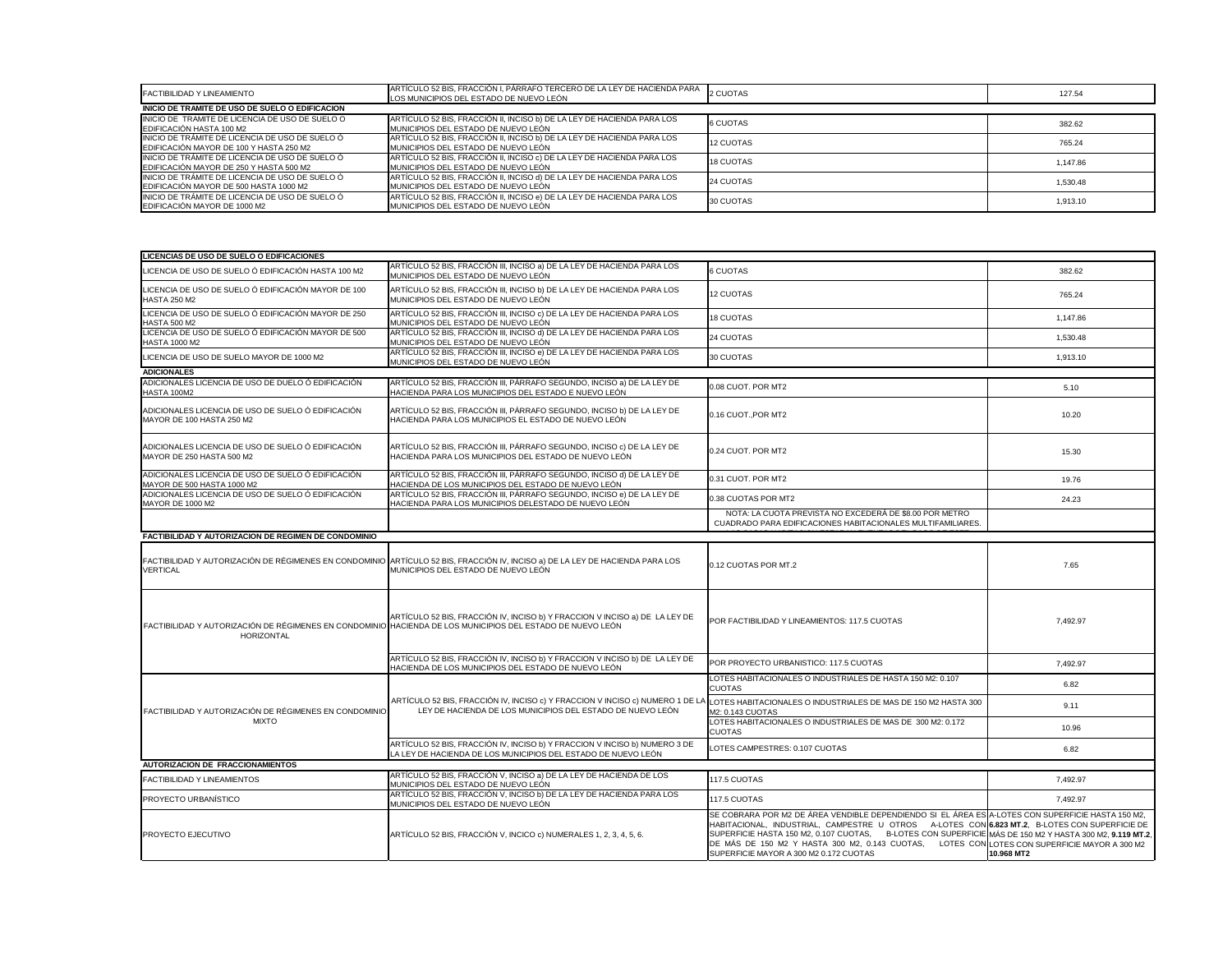| <b>FACTIBILIDAD Y LINEAMIENTO</b>                                                                  | ARTÍCULO 52 BIS, FRACCIÓN I, PÁRRAFO TERCERO DE LA LEY DE HACIENDA PARA<br>LOS MUNICIPIOS DEL ESTADO DE NUEVO LEÓN | 2 CUOTAS  | 127.54   |
|----------------------------------------------------------------------------------------------------|--------------------------------------------------------------------------------------------------------------------|-----------|----------|
| INICIO DE TRAMITE DE USO DE SUELO O EDIFICACION                                                    |                                                                                                                    |           |          |
| INICIO DE TRAMITE DE LICENCIA DE USO DE SUELO O<br><b>EDIFICACIÓN HASTA 100 M2</b>                 | ARTÍCULO 52 BIS, FRACCIÓN II, INCISO b) DE LA LEY DE HACIENDA PARA LOS<br>MUNICIPIOS DEL ESTADO DE NUEVO LEÓN      | 6 CUOTAS  | 382.62   |
| INICIO DE TRÁMITE DE LICENCIA DE USO DE SUELO Ó<br>EDIFICACIÓN MAYOR DE 100 Y HASTA 250 M2         | ARTÍCULO 52 BIS, FRACCIÓN II, INCISO b) DE LA LEY DE HACIENDA PARA LOS<br>IMUNICIPIOS DEL ESTADO DE NUEVO LEON     | 12 CUOTAS | 765.24   |
| INICIO DE TRÁMITE DE LICENCIA DE USO DE SUELO Ó<br><b>IEDIFICACIÓN MAYOR DE 250 Y HASTA 500 M2</b> | ARTÍCULO 52 BIS, FRACCIÓN II, INCISO c) DE LA LEY DE HACIENDA PARA LOS<br>IMUNICIPIOS DEL ESTADO DE NUEVO LEÓN     | 18 CUOTAS | 1.147.86 |
| INICIO DE TRAMITE DE LICENCIA DE USO DE SUELO Ó<br>EDIFICACIÓN MAYOR DE 500 HASTA 1000 M2          | ARTÍCULO 52 BIS, FRACCIÓN II, INCISO d) DE LA LEY DE HACIENDA PARA LOS<br>IMUNICIPIOS DEL ESTADO DE NUEVO LEÓN     | 24 CUOTAS | 1,530.48 |
| INICIO DE TRÁMITE DE LICENCIA DE USO DE SUELO Ó<br>EDIFICACIÓN MAYOR DE 1000 M2                    | ARTÍCULO 52 BIS, FRACCIÓN II, INCISO e) DE LA LEY DE HACIENDA PARA LOS<br>MUNICIPIOS DEL ESTADO DE NUEVO LEÓN      | 30 CUOTAS | 1,913.10 |

| LICENCIAS DE USO DE SUELO O EDIFICACIONES                                                                                |                                                                                                                                                                      |                                                                                                                                                                                                                                                                                                                                                                                                                                                         |            |
|--------------------------------------------------------------------------------------------------------------------------|----------------------------------------------------------------------------------------------------------------------------------------------------------------------|---------------------------------------------------------------------------------------------------------------------------------------------------------------------------------------------------------------------------------------------------------------------------------------------------------------------------------------------------------------------------------------------------------------------------------------------------------|------------|
| LICENCIA DE USO DE SUELO Ó EDIFICACIÓN HASTA 100 M2                                                                      | ARTÍCULO 52 BIS, FRACCIÓN III, INCISO a) DE LA LEY DE HACIENDA PARA LOS<br>MUNICIPIOS DEL ESTADO DE NUEVO LEÓN                                                       | <b>6 CUOTAS</b>                                                                                                                                                                                                                                                                                                                                                                                                                                         | 382.62     |
| LICENCIA DE USO DE SUELO Ó EDIFICACIÓN MAYOR DE 100<br><b>HASTA 250 M2</b>                                               | ARTÍCULO 52 BIS, FRACCIÓN III, INCISO b) DE LA LEY DE HACIENDA PARA LOS<br>MUNICIPIOS DEL ESTADO DE NUEVO LEÓN                                                       | <b>12 CUOTAS</b>                                                                                                                                                                                                                                                                                                                                                                                                                                        | 765.24     |
| LICENCIA DE USO DE SUELO Ó EDIFICACIÓN MAYOR DE 250<br><b>HASTA 500 M2</b>                                               | ARTÍCULO 52 BIS, FRACCIÓN III, INCISO c) DE LA LEY DE HACIENDA PARA LOS<br>MUNICIPIOS DEL ESTADO DE NUEVO LEÓN                                                       | <b>18 CUOTAS</b>                                                                                                                                                                                                                                                                                                                                                                                                                                        | 1,147.86   |
| LICENCIA DE USO DE SUELO Ó EDIFICACIÓN MAYOR DE 500<br><b>HASTA 1000 M2</b>                                              | ARTÍCULO 52 BIS, FRACCIÓN III, INCISO d) DE LA LEY DE HACIENDA PARA LOS<br>MUNICIPIOS DEL ESTADO DE NUEVO LEÓN                                                       | 24 CUOTAS                                                                                                                                                                                                                                                                                                                                                                                                                                               | 1,530.48   |
| LICENCIA DE USO DE SUELO MAYOR DE 1000 M2                                                                                | ARTÍCULO 52 BIS, FRACCIÓN III, INCISO e) DE LA LEY DE HACIENDA PARA LOS<br>MUNICIPIOS DEL ESTADO DE NUEVO LEÓN                                                       | 30 CUOTAS                                                                                                                                                                                                                                                                                                                                                                                                                                               | 1,913.10   |
| <b>ADICIONALES</b>                                                                                                       |                                                                                                                                                                      |                                                                                                                                                                                                                                                                                                                                                                                                                                                         |            |
| ADICIONALES LICENCIA DE USO DE DUELO Ó EDIFICACIÓN<br>HASTA 100M2                                                        | ARTÍCULO 52 BIS, FRACCIÓN III, PÁRRAFO SEGUNDO, INCISO a) DE LA LEY DE<br>HACIENDA PARA LOS MUNICIPIOS DEL ESTADO E NUEVO LEÓN                                       | 0.08 CUOT. POR MT2                                                                                                                                                                                                                                                                                                                                                                                                                                      | 5.10       |
| ADICIONALES LICENCIA DE USO DE SUELO Ó EDIFICACIÓN<br>MAYOR DE 100 HASTA 250 M2                                          | ARTÍCULO 52 BIS, FRACCIÓN III, PÁRRAFO SEGUNDO, INCISO b) DE LA LEY DE<br>HACIENDA PARA LOS MUNICIPIOS EL ESTADO DE NUEVO LEÓN                                       | 0.16 CUOT., POR MT2                                                                                                                                                                                                                                                                                                                                                                                                                                     | 10.20      |
| ADICIONALES LICENCIA DE USO DE SUELO Ó EDIFICACIÓN<br>MAYOR DE 250 HASTA 500 M2                                          | ARTÍCULO 52 BIS, FRACCIÓN III, PÁRRAFO SEGUNDO, INCISO c) DE LA LEY DE<br>HACIENDA PARA LOS MUNICIPIOS DEL ESTADO DE NUEVO LEÓN                                      | 0.24 CUOT. POR MT2                                                                                                                                                                                                                                                                                                                                                                                                                                      | 15.30      |
| ADICIONALES LICENCIA DE USO DE SUELO Ó EDIFICACIÓN<br>MAYOR DE 500 HASTA 1000 M2                                         | ARTÍCULO 52 BIS, FRACCIÓN III, PÁRRAFO SEGUNDO, INCISO d) DE LA LEY DE<br>HACIENDA DE LOS MUNICIPIOS DEL ESTADO DE NUEVO LEÓN                                        | 0.31 CUOT. POR MT2                                                                                                                                                                                                                                                                                                                                                                                                                                      | 19.76      |
| ADICIONALES LICENCIA DE USO DE SUELO Ó EDIFICACIÓN<br><b>MAYOR DE 1000 M2</b>                                            | ARTÍCULO 52 BIS, FRACCIÓN III, PÁRRAFO SEGUNDO, INCISO e) DE LA LEY DE<br>HACIENDA PARA LOS MUNICIPIOS DELESTADO DE NUEVO LEÓN                                       | 0.38 CUOTAS POR MT2                                                                                                                                                                                                                                                                                                                                                                                                                                     | 24.23      |
|                                                                                                                          |                                                                                                                                                                      | NOTA: LA CUOTA PREVISTA NO EXCEDERÁ DE \$8.00 POR METRO<br>CUADRADO PARA EDIFICACIONES HABITACIONALES MULTIFAMILIARES.                                                                                                                                                                                                                                                                                                                                  |            |
| FACTIBILIDAD Y AUTORIZACION DE REGIMEN DE CONDOMINIO                                                                     |                                                                                                                                                                      |                                                                                                                                                                                                                                                                                                                                                                                                                                                         |            |
|                                                                                                                          |                                                                                                                                                                      |                                                                                                                                                                                                                                                                                                                                                                                                                                                         |            |
| <b>VERTICAL</b>                                                                                                          | FACTIBILIDAD Y AUTORIZACIÓN DE RÉGIMENES EN CONDOMINIO ARTÍCULO 52 BIS, FRACCIÓN IV, INCISO a) DE LA LEY DE HACIENDA PARA LOS<br>MUNICIPIOS DEL ESTADO DE NUEVO LEÓN | 0.12 CUOTAS POR MT.2                                                                                                                                                                                                                                                                                                                                                                                                                                    | 7.65       |
| FACTIBILIDAD Y AUTORIZACIÓN DE RÉGIMENES EN CONDOMINIO HACIENDA DE LOS MUNICIPIOS DEL ESTADO DE NUEVO LEÓN<br>HORIZONTAL | ARTÍCULO 52 BIS, FRACCIÓN IV, INCISO b) Y FRACCION V INCISO a) DE LA LEY DE                                                                                          | POR FACTIBILIDAD Y LINEAMIENTOS: 117.5 CUOTAS                                                                                                                                                                                                                                                                                                                                                                                                           | 7,492.97   |
|                                                                                                                          | ARTÍCULO 52 BIS, FRACCIÓN IV, INCISO b) Y FRACCION V INCISO b) DE LA LEY DE<br>HACIENDA DE LOS MUNICIPIOS DEL ESTADO DE NUEVO LEÓN                                   | POR PROYECTO URBANISTICO: 117.5 CUOTAS                                                                                                                                                                                                                                                                                                                                                                                                                  | 7,492.97   |
|                                                                                                                          |                                                                                                                                                                      | LOTES HABITACIONALES O INDUSTRIALES DE HASTA 150 M2: 0.107<br><b>CUOTAS</b>                                                                                                                                                                                                                                                                                                                                                                             | 6.82       |
| FACTIBILIDAD Y AUTORIZACIÓN DE RÉGIMENES EN CONDOMINIO                                                                   | ARTÍCULO 52 BIS, FRACCIÓN IV, INCISO c) Y FRACCION V INCISO c) NUMERO 1 DE LA<br>LEY DE HACIENDA DE LOS MUNICIPIOS DEL ESTADO DE NUEVO LEÓN                          | LOTES HABITACIONALES O INDUSTRIALES DE MAS DE 150 M2 HASTA 300<br>M2: 0.143 CUOTAS                                                                                                                                                                                                                                                                                                                                                                      | 9.11       |
| MIXTO                                                                                                                    |                                                                                                                                                                      | LOTES HABITACIONALES O INDUSTRIALES DE MAS DE 300 M2: 0.172<br><b>CUOTAS</b>                                                                                                                                                                                                                                                                                                                                                                            | 10.96      |
|                                                                                                                          | ARTÍCULO 52 BIS, FRACCIÓN IV, INCISO b) Y FRACCION V INCISO b) NUMERO 3 DE<br>LA LEY DE HACIENDA DE LOS MUNICIPIOS DEL ESTADO DE NUEVO LEÓN                          | LOTES CAMPESTRES: 0.107 CUOTAS                                                                                                                                                                                                                                                                                                                                                                                                                          | 6.82       |
| <b>AUTORIZACION DE FRACCIONAMIENTOS</b>                                                                                  |                                                                                                                                                                      |                                                                                                                                                                                                                                                                                                                                                                                                                                                         |            |
| <b>FACTIBILIDAD Y LINEAMIENTOS</b>                                                                                       | ARTÍCULO 52 BIS, FRACCIÓN V, INCISO a) DE LA LEY DE HACIENDA DE LOS<br>MUNICIPIOS DEL ESTADO DE NUEVO LEÓN                                                           | 117.5 CUOTAS                                                                                                                                                                                                                                                                                                                                                                                                                                            | 7,492.97   |
| <b>PROYECTO URBANÍSTICO</b>                                                                                              | ARTÍCULO 52 BIS, FRACCIÓN V, INCISO b) DE LA LEY DE HACIENDA PARA LOS<br>MUNICIPIOS DEL ESTADO DE NUEVO LEÓN                                                         | 117.5 CUOTAS                                                                                                                                                                                                                                                                                                                                                                                                                                            | 7,492.97   |
| <b>IPROYECTO EJECUTIVO</b>                                                                                               | ARTÍCULO 52 BIS, FRACCIÓN V, INCICO c) NUMERALES 1, 2, 3, 4, 5, 6.                                                                                                   | SE COBRARA POR M2 DE ÁREA VENDIBLE DEPENDIENDO SI EL ÁREA ES A-LOTES CON SUPERFICIE HASTA 150 M2,<br>HABITACIONAL, INDUSTRIAL, CAMPESTRE U OTROS A-LOTES CON 6.823 MT.2, B-LOTES CON SUPERFICIE DE<br>SUPERFICIE HASTA 150 M2, 0.107 CUOTAS, B-LOTES CON SUPERFICIE MÁS DE 150 M2 Y HASTA 300 M2, 9.119 MT.2,<br>DE MÁS DE 150 M2 Y HASTA 300 M2, 0.143 CUOTAS, LOTES CON LOTES CON SUPERFICIE MAYOR A 300 M2<br>SUPERFICIE MAYOR A 300 M2 0.172 CUOTAS | 10.968 MT2 |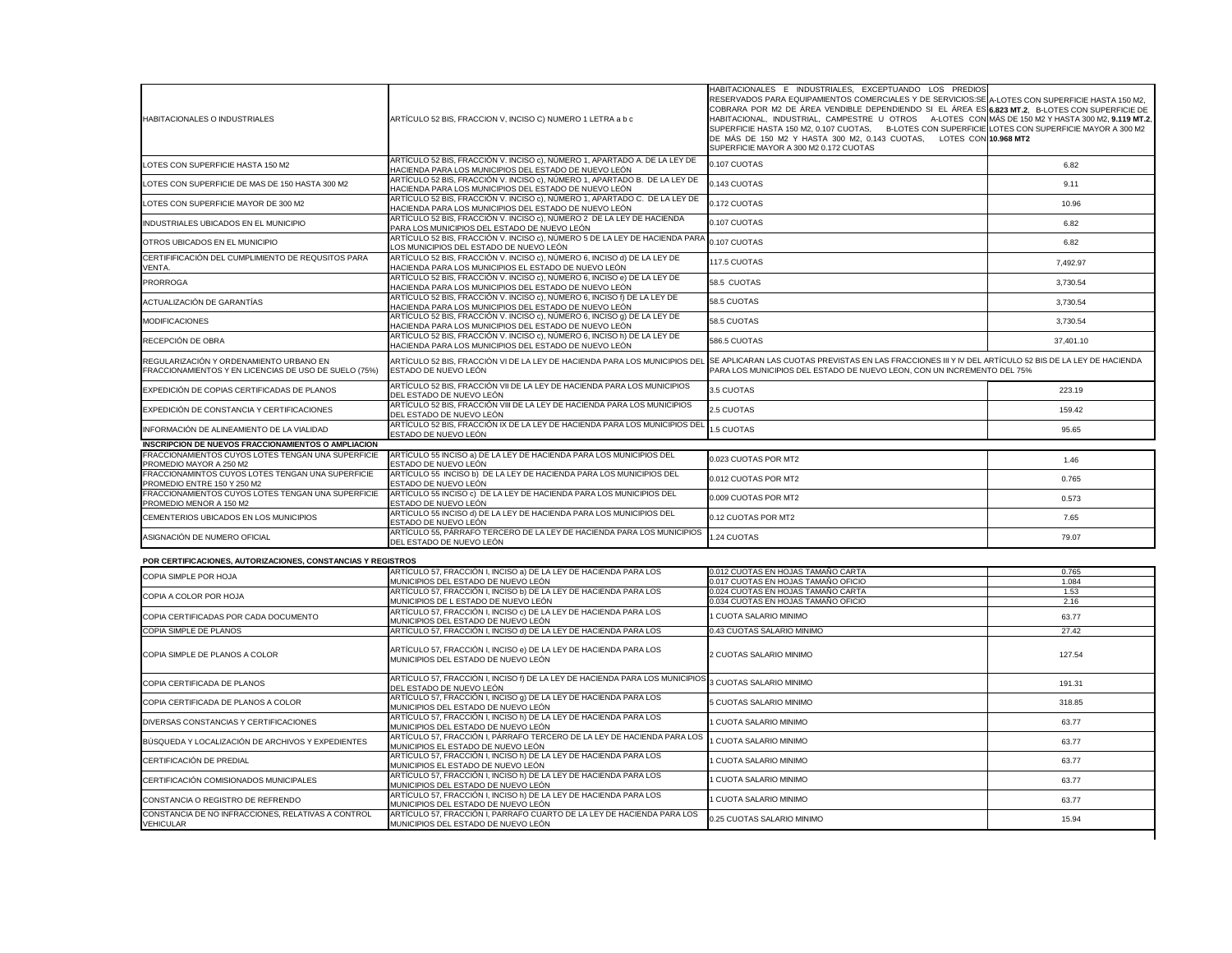| HABITACIONALES O INDUSTRIALES                                                                    | ARTÍCULO 52 BIS, FRACCION V, INCISO C) NUMERO 1 LETRA a b c                                                                                                                                               | HABITACIONALES E INDUSTRIALES, EXCEPTUANDO LOS PREDIOS<br>RESERVADOS PARA EQUIPAMIENTOS COMERCIALES Y DE SERVICIOS:SE A-LOTES CON SUPERFICIE HASTA 150 M2,<br>COBRARA POR M2 DE ÁREA VENDIBLE DEPENDIENDO SI EL ÁREA ES 6.823 MT.2, B-LOTES CON SUPERFICIE DE<br>HABITACIONAL, INDUSTRIAL, CAMPESTRE U OTROS A-LOTES CON MÁS DE 150 M2 Y HASTA 300 M2, 9.119 MT.2,<br>SUPERFICIE HASTA 150 M2, 0.107 CUOTAS, B-LOTES CON SUPERFICIE LOTES CON SUPERFICIE MAYOR A 300 M2<br>DE MÁS DE 150 M2 Y HASTA 300 M2, 0.143 CUOTAS, LOTES CON 10.968 MT2<br>SUPERFICIE MAYOR A 300 M2 0.172 CUOTAS |                 |
|--------------------------------------------------------------------------------------------------|-----------------------------------------------------------------------------------------------------------------------------------------------------------------------------------------------------------|------------------------------------------------------------------------------------------------------------------------------------------------------------------------------------------------------------------------------------------------------------------------------------------------------------------------------------------------------------------------------------------------------------------------------------------------------------------------------------------------------------------------------------------------------------------------------------------|-----------------|
| LOTES CON SUPERFICIE HASTA 150 M2                                                                | ARTÍCULO 52 BIS, FRACCIÓN V. INCISO c), NÚMERO 1, APARTADO A. DE LA LEY DE<br>HACIENDA PARA LOS MUNICIPIOS DEL ESTADO DE NUEVO LEÓN                                                                       | 0.107 CUOTAS                                                                                                                                                                                                                                                                                                                                                                                                                                                                                                                                                                             | 6.82            |
| LOTES CON SUPERFICIE DE MAS DE 150 HASTA 300 M2                                                  | ARTÍCULO 52 BIS, FRACCIÓN V. INCISO c), NÚMERO 1, APARTADO B. DE LA LEY DE<br>HACIENDA PARA LOS MUNICIPIOS DEL ESTADO DE NUEVO LEÓN                                                                       | 0.143 CUOTAS                                                                                                                                                                                                                                                                                                                                                                                                                                                                                                                                                                             | 9.11            |
| LOTES CON SUPERFICIE MAYOR DE 300 M2                                                             | ARTÍCULO 52 BIS, FRACCIÓN V. INCISO c), NÚMERO 1, APARTADO C. DE LA LEY DE<br>HACIENDA PARA LOS MUNICIPIOS DEL ESTADO DE NUEVO LEÓN                                                                       | 0.172 CUOTAS                                                                                                                                                                                                                                                                                                                                                                                                                                                                                                                                                                             | 10.96           |
| INDUSTRIALES UBICADOS EN EL MUNICIPIO                                                            | ARTÍCULO 52 BIS, FRACCIÓN V. INCISO c), NÚMERO 2 DE LA LEY DE HACIENDA<br>PARA LOS MUNICIPIOS DEL ESTADO DE NUEVO LEÓN                                                                                    | 0.107 CUOTAS                                                                                                                                                                                                                                                                                                                                                                                                                                                                                                                                                                             | 6.82            |
| OTROS UBICADOS EN EL MUNICIPIO                                                                   | ARTÍCULO 52 BIS, FRACCIÓN V. INCISO c), NÚMERO 5 DE LA LEY DE HACIENDA PARA<br>LOS MUNICIPIOS DEL ESTADO DE NUEVO LEÓN                                                                                    | 0.107 CUOTAS                                                                                                                                                                                                                                                                                                                                                                                                                                                                                                                                                                             | 6.82            |
| CERTIFIFICACIÓN DEL CUMPLIMIENTO DE REQUSITOS PARA<br>VENTA.                                     | ARTÍCULO 52 BIS, FRACCIÓN V. INCISO c), NÚMERO 6, INCISO d) DE LA LEY DE<br>HACIENDA PARA LOS MUNICIPIOS EL ESTADO DE NUEVO LEÓN                                                                          | 117.5 CUOTAS                                                                                                                                                                                                                                                                                                                                                                                                                                                                                                                                                                             | 7,492.97        |
| <b>PRORROGA</b>                                                                                  | ARTÍCULO 52 BIS, FRACCIÓN V. INCISO c), NÚMERO 6, INCISO e) DE LA LEY DE<br>HACIENDA PARA LOS MUNICIPIOS DEL ESTADO DE NUEVO LEÓN                                                                         | 58.5 CUOTAS                                                                                                                                                                                                                                                                                                                                                                                                                                                                                                                                                                              | 3,730.54        |
| ACTUALIZACIÓN DE GARANTÍAS                                                                       | ARTÍCULO 52 BIS, FRACCIÓN V. INCISO c), NÚMERO 6, INCISO f) DE LA LEY DE<br>HACIENDA PARA LOS MUNICIPIOS DEL ESTADO DE NUEVO LEÓN                                                                         | 58.5 CUOTAS                                                                                                                                                                                                                                                                                                                                                                                                                                                                                                                                                                              | 3,730.54        |
| <b>MODIFICACIONES</b>                                                                            | ARTÍCULO 52 BIS, FRACCIÓN V. INCISO c), NÚMERO 6, INCISO 9) DE LA LEY DE<br>HACIENDA PARA LOS MUNICIPIOS DEL ESTADO DE NUEVO LEÓN                                                                         | 58.5 CUOTAS                                                                                                                                                                                                                                                                                                                                                                                                                                                                                                                                                                              | 3,730.54        |
| RECEPCIÓN DE OBRA                                                                                | ARTÍCULO 52 BIS, FRACCIÓN V. INCISO c), NÚMERO 6, INCISO h) DE LA LEY DE<br>HACIENDA PARA LOS MUNICIPIOS DEL ESTADO DE NUEVO LEÓN                                                                         | 586.5 CUOTAS                                                                                                                                                                                                                                                                                                                                                                                                                                                                                                                                                                             | 37,401.10       |
| REGULARIZACIÓN Y ORDENAMIENTO URBANO EN<br>FRACCIONAMIENTOS Y EN LICENCIAS DE USO DE SUELO (75%) | ARTÍCULO 52 BIS, FRACCIÓN VI DE LA LEY DE HACIENDA PARA LOS MUNICIPIOS DEL SE APLICARAN LAS CUOTAS PREVISTAS EN LAS FRACCIONES III Y IV DEL ARTÍCULO 52 BIS DE LA LEY DE HACIENDA<br>ESTADO DE NUEVO LEÓN | PARA LOS MUNICIPIOS DEL ESTADO DE NUEVO LEON, CON UN INCREMENTO DEL 75%                                                                                                                                                                                                                                                                                                                                                                                                                                                                                                                  |                 |
| EXPEDICIÓN DE COPIAS CERTIFICADAS DE PLANOS                                                      | ARTÍCULO 52 BIS, FRACCIÓN VII DE LA LEY DE HACIENDA PARA LOS MUNICIPIOS<br>DEL ESTADO DE NUEVO LEÓN                                                                                                       | 3.5 CUOTAS                                                                                                                                                                                                                                                                                                                                                                                                                                                                                                                                                                               | 223.19          |
| EXPEDICIÓN DE CONSTANCIA Y CERTIFICACIONES                                                       | ARTÍCULO 52 BIS, FRACCIÓN VIII DE LA LEY DE HACIENDA PARA LOS MUNICIPIOS<br>DEL ESTADO DE NUEVO LEÓN                                                                                                      | 2.5 CUOTAS                                                                                                                                                                                                                                                                                                                                                                                                                                                                                                                                                                               | 159.42          |
| INFORMACIÓN DE ALINEAMIENTO DE LA VIALIDAD                                                       | DEL LOTTUS DE TUBLICIÓN IX DE LA LEY DE HACIENDA PARA LOS MUNICIPIOS DEL 1.5 CUOTAS<br>ESTADO DE NUEVO LEÓN                                                                                               |                                                                                                                                                                                                                                                                                                                                                                                                                                                                                                                                                                                          | 95.65           |
| <b>INSCRIPCION DE NUEVOS FRACCIONAMIENTOS O AMPLIACION</b>                                       |                                                                                                                                                                                                           |                                                                                                                                                                                                                                                                                                                                                                                                                                                                                                                                                                                          |                 |
| FRACCIONAMIENTOS CUYOS LOTES TENGAN UNA SUPERFICIE<br>PROMEDIO MAYOR A 250 M2                    | ARTÍCULO 55 INCISO a) DE LA LEY DE HACIENDA PARA LOS MUNICIPIOS DEL<br>ESTADO DE NUEVO LEÓN                                                                                                               | 0.023 CUOTAS POR MT2                                                                                                                                                                                                                                                                                                                                                                                                                                                                                                                                                                     | 1.46            |
| FRACCIONAMINTOS CUYOS LOTES TENGAN UNA SUPERFICIE<br>PROMEDIO ENTRE 150 Y 250 M2                 | ARTÍCULO 55 INCISO b) DE LA LEY DE HACIENDA PARA LOS MUNICIPIOS DEL<br>ESTADO DE NUEVO LEÓN                                                                                                               | 0.012 CUOTAS POR MT2                                                                                                                                                                                                                                                                                                                                                                                                                                                                                                                                                                     | 0.765           |
| FRACCIONAMIENTOS CUYOS LOTES TENGAN UNA SUPERFICIE<br>PROMEDIO MENOR A 150 M2                    | ARTÍCULO 55 INCISO c) DE LA LEY DE HACIENDA PARA LOS MUNICIPIOS DEL<br>ESTADO DE NUEVO LEÓN                                                                                                               | 0.009 CUOTAS POR MT2                                                                                                                                                                                                                                                                                                                                                                                                                                                                                                                                                                     | 0.573           |
| CEMENTERIOS UBICADOS EN LOS MUNICIPIOS                                                           | ARTÍCULO 55 INCISO d) DE LA LEY DE HACIENDA PARA LOS MUNICIPIOS DEL<br>ESTADO DE NUEVO LEÓN                                                                                                               | 0.12 CUOTAS POR MT2                                                                                                                                                                                                                                                                                                                                                                                                                                                                                                                                                                      | 7.65            |
| ASIGNACIÓN DE NUMERO OFICIAL                                                                     | ARTÍCULO 55, PÁRRAFO TERCERO DE LA LEY DE HACIENDA PARA LOS MUNICIPIOS<br>DEL ESTADO DE NUEVO LEÓN                                                                                                        | 1.24 CUOTAS                                                                                                                                                                                                                                                                                                                                                                                                                                                                                                                                                                              | 79.07           |
| POR CERTIFICACIONES, AUTORIZACIONES, CONSTANCIAS Y REGISTROS                                     |                                                                                                                                                                                                           |                                                                                                                                                                                                                                                                                                                                                                                                                                                                                                                                                                                          |                 |
| COPIA SIMPLE POR HOJA                                                                            | ARTÍCULO 57, FRACCIÓN I, INCISO a) DE LA LEY DE HACIENDA PARA LOS                                                                                                                                         | 0.012 CUOTAS EN HOJAS TAMAÑO CARTA                                                                                                                                                                                                                                                                                                                                                                                                                                                                                                                                                       | 0.765           |
|                                                                                                  | MUNICIPIOS DEL ESTADO DE NUEVO LEÓN                                                                                                                                                                       | 0.017 CUOTAS EN HOJAS TAMAÑO OFICIO                                                                                                                                                                                                                                                                                                                                                                                                                                                                                                                                                      | 1.084           |
| COPIA A COLOR POR HOJA                                                                           | ARTÍCULO 57, FRACCIÓN I, INCISO b) DE LA LEY DE HACIENDA PARA LOS                                                                                                                                         | 0.024 CUOTAS EN HOJAS TAMAÑO CARTA                                                                                                                                                                                                                                                                                                                                                                                                                                                                                                                                                       | 1.53            |
| COPIA CERTIFICADAS POR CADA DOCUMENTO                                                            | MUNICIPIOS DE L ESTADO DE NUEVO LEÓN<br>ARTÍCULO 57, FRACCIÓN I, INCISO c) DE LA LEY DE HACIENDA PARA LOS                                                                                                 | 0.034 CUOTAS EN HOJAS TAMAÑO OFICIO<br>1 CUOTA SALARIO MINIMO                                                                                                                                                                                                                                                                                                                                                                                                                                                                                                                            | 2.16<br>63.77   |
|                                                                                                  | MUNICIPIOS DEL ESTADO DE NUEVO LEÓN                                                                                                                                                                       |                                                                                                                                                                                                                                                                                                                                                                                                                                                                                                                                                                                          |                 |
| COPIA SIMPLE DE PLANOS<br>COPIA SIMPLE DE PLANOS A COLOR                                         | ARTÍCULO 57, FRACCIÓN I, INCISO d) DE LA LEY DE HACIENDA PARA LOS<br>ARTÍCULO 57, FRACCIÓN I, INCISO e) DE LA LEY DE HACIENDA PARA LOS<br>MUNICIPIOS DEL ESTADO DE NUEVO LEÓN                             | 0.43 CUOTAS SALARIO MINIMO<br>2 CUOTAS SALARIO MINIMO                                                                                                                                                                                                                                                                                                                                                                                                                                                                                                                                    | 27.42<br>127.54 |
| COPIA CERTIFICADA DE PLANOS                                                                      | ARTÍCULO 57, FRACCIÓN I, INCISO f) DE LA LEY DE HACIENDA PARA LOS MUNICIPIOS 3 CUOTAS SALARIO MINIMO<br>DEL ESTADO DE NUEVO LEÓN                                                                          |                                                                                                                                                                                                                                                                                                                                                                                                                                                                                                                                                                                          | 191.31          |
| COPIA CERTIFICADA DE PLANOS A COLOR                                                              | ARTÍCULO 57, FRACCIÓN I, INCISO g) DE LA LEY DE HACIENDA PARA LOS<br>MUNICIPIOS DEL ESTADO DE NUEVO LEÓN                                                                                                  | 5 CUOTAS SALARIO MINIMO                                                                                                                                                                                                                                                                                                                                                                                                                                                                                                                                                                  | 318.85          |
| DIVERSAS CONSTANCIAS Y CERTIFICACIONES                                                           | ARTÍCULO 57, FRACCIÓN I, INCISO h) DE LA LEY DE HACIENDA PARA LOS<br>MUNICIPIOS DEL ESTADO DE NUEVO LEÓN                                                                                                  | 1 CUOTA SALARIO MINIMO                                                                                                                                                                                                                                                                                                                                                                                                                                                                                                                                                                   | 63.77           |
| BÚSQUEDA Y LOCALIZACIÓN DE ARCHIVOS Y EXPEDIENTES                                                | ARTÍCULO 57, FRACCIÓN I, PÁRRAFO TERCERO DE LA LEY DE HACIENDA PARA LOS<br>MUNICIPIOS EL ESTADO DE NUEVO LEÓN                                                                                             | 1 CUOTA SALARIO MINIMO                                                                                                                                                                                                                                                                                                                                                                                                                                                                                                                                                                   | 63.77           |
| CERTIFICACIÓN DE PREDIAL                                                                         | ARTÍCULO 57, FRACCIÓN I, INCISO h) DE LA LEY DE HACIENDA PARA LOS<br>MUNICIPIOS EL ESTADO DE NUEVO LEÓN                                                                                                   | 1 CUOTA SALARIO MINIMO                                                                                                                                                                                                                                                                                                                                                                                                                                                                                                                                                                   | 63.77           |
| CERTIFICACIÓN COMISIONADOS MUNICIPALES                                                           | ARTÍCULO 57, FRACCIÓN I, INCISO h) DE LA LEY DE HACIENDA PARA LOS<br>MUNICIPIOS DEL ESTADO DE NUEVO LEÓN                                                                                                  | 1 CUOTA SALARIO MINIMO                                                                                                                                                                                                                                                                                                                                                                                                                                                                                                                                                                   | 63.77           |
| CONSTANCIA O REGISTRO DE REFRENDO                                                                | ARTÍCULO 57, FRACCIÓN I, INCISO h) DE LA LEY DE HACIENDA PARA LOS<br>MUNICIPIOS DEL ESTADO DE NUEVO LEÓN                                                                                                  | 1 CUOTA SALARIO MINIMO                                                                                                                                                                                                                                                                                                                                                                                                                                                                                                                                                                   | 63.77           |
| CONSTANCIA DE NO INFRACCIONES, RELATIVAS A CONTROL<br><b>VEHICULAR</b>                           | ARTÍCULO 57, FRACCIÓN I, PARRAFO CUARTO DE LA LEY DE HACIENDA PARA LOS<br>MUNICIPIOS DEL ESTADO DE NUEVO LEÓN                                                                                             | 0.25 CUOTAS SALARIO MINIMO                                                                                                                                                                                                                                                                                                                                                                                                                                                                                                                                                               | 15.94           |
|                                                                                                  |                                                                                                                                                                                                           |                                                                                                                                                                                                                                                                                                                                                                                                                                                                                                                                                                                          |                 |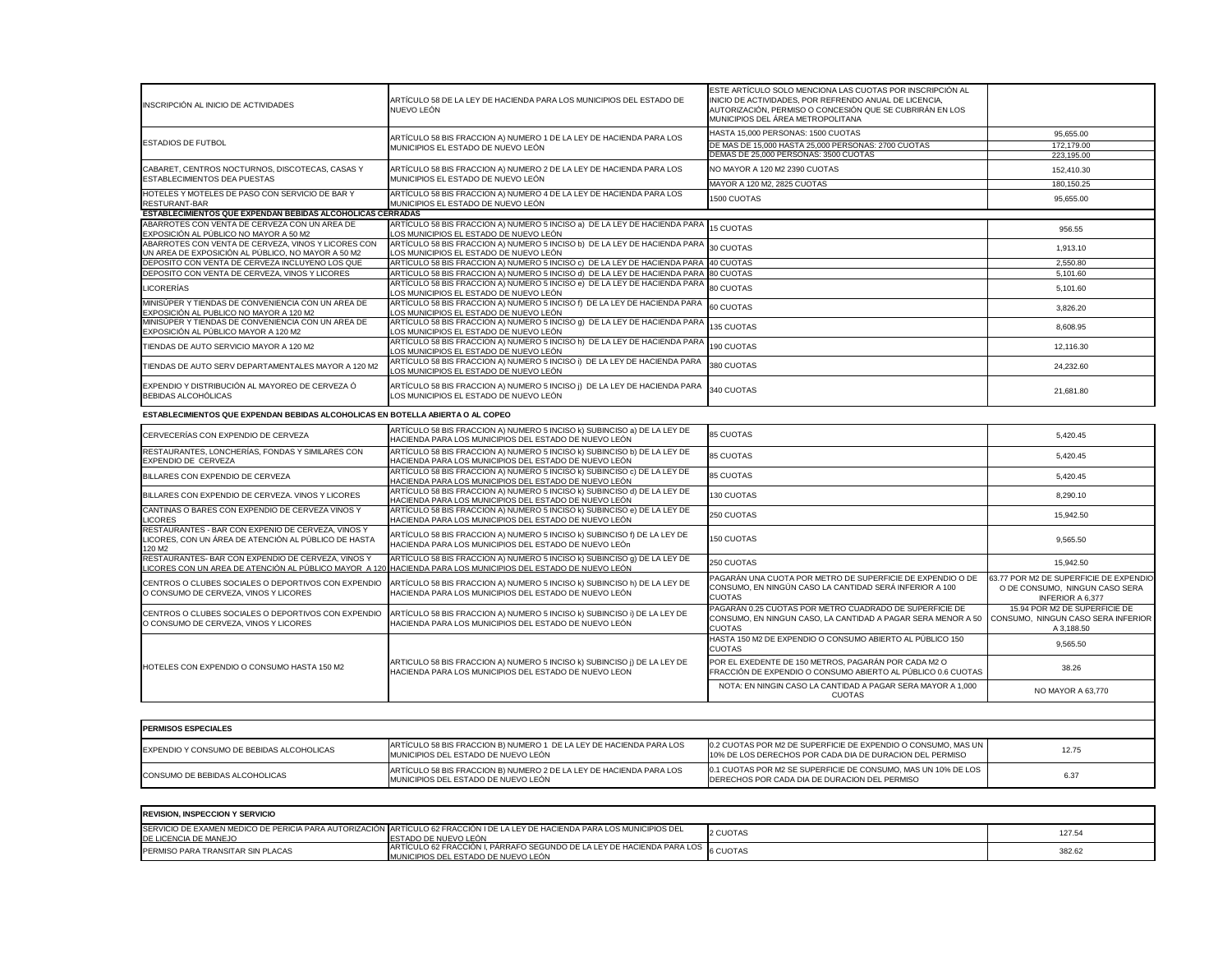| INSCRIPCIÓN AL INICIO DE ACTIVIDADES                                                                      | ARTÍCULO 58 DE LA LEY DE HACIENDA PARA LOS MUNICIPIOS DEL ESTADO DE<br>NUEVO LEÓN                                                 | ESTE ARTÍCULO SOLO MENCIONA LAS CUOTAS POR INSCRIPCIÓN AL<br>INICIO DE ACTIVIDADES, POR REFRENDO ANUAL DE LICENCIA,<br>AUTORIZACIÓN, PERMISO O CONCESIÓN QUE SE CUBRIRÁN EN LOS<br>MUNICIPIOS DEL ÁREA METROPOLITANA |            |
|-----------------------------------------------------------------------------------------------------------|-----------------------------------------------------------------------------------------------------------------------------------|----------------------------------------------------------------------------------------------------------------------------------------------------------------------------------------------------------------------|------------|
|                                                                                                           | ARTÍCULO 58 BIS FRACCION A) NUMERO 1 DE LA LEY DE HACIENDA PARA LOS                                                               | HASTA 15,000 PERSONAS: 1500 CUOTAS                                                                                                                                                                                   | 95,655.00  |
| <b>ESTADIOS DE FUTBOL</b>                                                                                 | MUNICIPIOS EL ESTADO DE NUEVO LEÓN                                                                                                | DE MAS DE 15,000 HASTA 25,000 PERSONAS: 2700 CUOTAS                                                                                                                                                                  | 172,179.00 |
|                                                                                                           |                                                                                                                                   | DEMAS DE 25,000 PERSONAS: 3500 CUOTAS                                                                                                                                                                                | 223,195.00 |
| CABARET, CENTROS NOCTURNOS, DISCOTECAS, CASAS Y<br>ESTABLECIMIENTOS DEA PUESTAS                           | ARTÍCULO 58 BIS FRACCION A) NUMERO 2 DE LA LEY DE HACIENDA PARA LOS<br>MUNICIPIOS EL ESTADO DE NUEVO LEÓN                         | NO MAYOR A 120 M2 2390 CUOTAS                                                                                                                                                                                        | 152,410.30 |
|                                                                                                           |                                                                                                                                   | MAYOR A 120 M2, 2825 CUOTAS                                                                                                                                                                                          | 180,150.25 |
| HOTELES Y MOTELES DE PASO CON SERVICIO DE BAR Y<br>RESTURANT-BAR                                          | ARTÍCULO 58 BIS FRACCION A) NUMERO 4 DE LA LEY DE HACIENDA PARA LOS<br>MUNICIPIOS EL ESTADO DE NUEVO LEÓN                         | 1500 CUOTAS                                                                                                                                                                                                          | 95,655.00  |
| ESTABLECIMIENTOS QUE EXPENDAN BEBIDAS ALCOHOLICAS CERRADAS                                                |                                                                                                                                   |                                                                                                                                                                                                                      |            |
| ABARROTES CON VENTA DE CERVEZA CON UN AREA DE<br>EXPOSICIÓN AL PÚBLICO NO MAYOR A 50 M2                   | ARTÍCULO 58 BIS FRACCION A) NUMERO 5 INCISO a) DE LA LEY DE HACIENDA PARA<br>LOS MUNICIPIOS EL ESTADO DE NUEVO LEÓN               | <b>15 CUOTAS</b>                                                                                                                                                                                                     | 956.55     |
| ABARROTES CON VENTA DE CERVEZA, VINOS Y LICORES CON<br>UN AREA DE EXPOSICIÓN AL PÚBLICO, NO MAYOR A 50 M2 | ARTÍCULO 58 BIS FRACCION A) NUMERO 5 INCISO b) DE LA LEY DE HACIENDA PARA<br>LOS MUNICIPIOS EL ESTADO DE NUEVO LEÓN               | 30 CUOTAS                                                                                                                                                                                                            | 1,913.10   |
| DEPOSITO CON VENTA DE CERVEZA INCLUYENO LOS QUE                                                           | ARTÍCULO 58 BIS FRACCION A) NUMERO 5 INCISO c) DE LA LEY DE HACIENDA PARA                                                         | 40 CUOTAS                                                                                                                                                                                                            | 2,550.80   |
| DEPOSITO CON VENTA DE CERVEZA, VINOS Y LICORES                                                            | ARTÍCULO 58 BIS FRACCION A) NUMERO 5 INCISO d) DE LA LEY DE HACIENDA PARA                                                         | 80 CUOTAS                                                                                                                                                                                                            | 5,101.60   |
| <b>LICORERÍAS</b>                                                                                         | ARTÍCULO 58 BIS FRACCION A) NUMERO 5 INCISO e) DE LA LEY DE HACIENDA PARA<br>LOS MUNICIPIOS EL ESTADO DE NUEVO LEÓN               | 80 CUOTAS                                                                                                                                                                                                            | 5,101.60   |
| MINISÚPER Y TIENDAS DE CONVENIENCIA CON UN AREA DE<br>EXPOSICIÓN AL PUBLICO NO MAYOR A 120 M2             | ARTÍCULO 58 BIS FRACCION A) NUMERO 5 INCISO f) DE LA LEY DE HACIENDA PARA<br>LOS MUNICIPIOS EL ESTADO DE NUEVO LEÓN               | 60 CUOTAS                                                                                                                                                                                                            | 3,826.20   |
| MINISÚPER Y TIENDAS DE CONVENIENCIA CON UN AREA DE<br>EXPOSICIÓN AL PÚBLICO MAYOR A 120 M2                | ARTÍCULO 58 BIS FRACCION A) NUMERO 5 INCISO g) DE LA LEY DE HACIENDA PARA<br>LOS MUNICIPIOS EL ESTADO DE NUEVO LEÓN               | 135 CUOTAS                                                                                                                                                                                                           | 8,608.95   |
| TIENDAS DE AUTO SERVICIO MAYOR A 120 M2                                                                   | ARTÍCULO 58 BIS FRACCION A) NUMERO 5 INCISO h) DE LA LEY DE HACIENDA PARA<br>LOS MUNICIPIOS EL ESTADO DE NUEVO LEÓN               | 190 CUOTAS                                                                                                                                                                                                           | 12,116.30  |
| TIENDAS DE AUTO SERV DEPARTAMENTALES MAYOR A 120 M2                                                       | ARTÍCULO 58 BIS FRACCION A) NUMERO 5 INCISO i) DE LA LEY DE HACIENDA PARA<br>LOS MUNICIPIOS EL ESTADO DE NUEVO LEÓN               | 380 CUOTAS                                                                                                                                                                                                           | 24,232.60  |
| EXPENDIO Y DISTRIBUCIÓN AL MAYOREO DE CERVEZA Ó<br><b>BEBIDAS ALCOHÓLICAS</b>                             | ARTÍCULO 58 BIS FRACCION A) NUMERO 5 INCISO ¡) DE LA LEY DE HACIENDA PARA<br>LOS MUNICIPIOS EL ESTADO DE NUEVO LEÓN               | 340 CUOTAS                                                                                                                                                                                                           | 21,681.80  |
| ESTABLECIMIENTOS QUE EXPENDAN BEBIDAS ALCOHOLICAS EN BOTELLA ABIERTA O AL COPEO                           |                                                                                                                                   |                                                                                                                                                                                                                      |            |
| CERVECERÍAS CON EXPENDIO DE CERVEZA                                                                       | ARTÍCULO 58 BIS FRACCION A) NUMERO 5 INCISO k) SUBINCISO a) DE LA LEY DE<br>HACIENDA PARA LOS MUNICIPIOS DEL ESTADO DE NUEVO LEÓN | <b>85 CUOTAS</b>                                                                                                                                                                                                     | 5,420.45   |
| DECTAUDANTES LONGHEDÍAS FONDAS V SIMILADES CON                                                            | ADTÍCULO EQ DICITO ACCIONAL ALIUMEDO E INCICO LA CUDINCICO LA DE LA LEVIDE                                                        |                                                                                                                                                                                                                      |            |

| CERVECERÍAS CON EXPENDIO DE CERVEZA                                                                                              | ARTÍCULO 58 BIS FRACCION A) NUMERO 5 INCISO K) SUBINCISO a) DE LA LEY DE<br>HACIENDA PARA LOS MUNICIPIOS DEL ESTADO DE NUEVO LEÓN                                                        | <b>85 CUOTAS</b>                                                                                                                                                            | 5,420.45                                                                                            |
|----------------------------------------------------------------------------------------------------------------------------------|------------------------------------------------------------------------------------------------------------------------------------------------------------------------------------------|-----------------------------------------------------------------------------------------------------------------------------------------------------------------------------|-----------------------------------------------------------------------------------------------------|
| RESTAURANTES, LONCHERÍAS, FONDAS Y SIMILARES CON<br>EXPENDIO DE CERVEZA                                                          | ARTÍCULO 58 BIS FRACCION A) NUMERO 5 INCISO k) SUBINCISO b) DE LA LEY DE<br>HACIENDA PARA LOS MUNICIPIOS DEL ESTADO DE NUEVO LEÓN                                                        | <b>85 CUOTAS</b>                                                                                                                                                            | 5,420.45                                                                                            |
| BILLARES CON EXPENDIO DE CERVEZA                                                                                                 | ARTÍCULO 58 BIS FRACCION A) NUMERO 5 INCISO k) SUBINCISO c) DE LA LEY DE<br>HACIENDA PARA LOS MUNICIPIOS DEL ESTADO DE NUEVO LEÓN                                                        | <b>85 CUOTAS</b>                                                                                                                                                            | 5,420.45                                                                                            |
| BILLARES CON EXPENDIO DE CERVEZA. VINOS Y LICORES                                                                                | ARTÍCULO 58 BIS FRACCION A) NUMERO 5 INCISO k) SUBINCISO d) DE LA LEY DE<br>HACIENDA PARA LOS MUNICIPIOS DEL ESTADO DE NUEVO LEÓN                                                        | 130 CUOTAS                                                                                                                                                                  | 8,290.10                                                                                            |
| CANTINAS O BARES CON EXPENDIO DE CERVEZA VINOS Y<br><b>LICORES</b>                                                               | ARTÍCULO 58 BIS FRACCION A) NUMERO 5 INCISO k) SUBINCISO e) DE LA LEY DE<br>HACIENDA PARA LOS MUNICIPIOS DEL ESTADO DE NUEVO LEÓN                                                        | 250 CUOTAS                                                                                                                                                                  | 15,942.50                                                                                           |
| RESTAURANTES - BAR CON EXPENIO DE CERVEZA, VINOS Y<br>LICORES, CON UN ÁREA DE ATENCIÓN AL PÚBLICO DE HASTA<br>120 M <sub>2</sub> | ARTÍCULO 58 BIS FRACCION A) NUMERO 5 INCISO k) SUBINCISO f) DE LA LEY DE<br>HACIENDA PARA LOS MUNICIPIOS DEL ESTADO DE NUEVO LEÓN                                                        | 150 CUOTAS                                                                                                                                                                  | 9,565.50                                                                                            |
| RESTAURANTES- BAR CON EXPENDIO DE CERVEZA, VINOS Y                                                                               | ARTÍCULO 58 BIS FRACCION A) NUMERO 5 INCISO k) SUBINCISO 9) DE LA LEY DE<br>LICORES CON UN AREA DE ATENCIÓN AL PÚBLICO MAYOR A 120 HACIENDA PARA LOS MUNICIPIOS DEL ESTADO DE NUEVO LEÓN | 250 CUOTAS                                                                                                                                                                  | 15,942.50                                                                                           |
| CENTROS O CLUBES SOCIALES O DEPORTIVOS CON EXPENDIO<br>O CONSUMO DE CERVEZA, VINOS Y LICORES                                     | ARTÍCULO 58 BIS FRACCION A) NUMERO 5 INCISO k) SUBINCISO h) DE LA LEY DE<br>HACIENDA PARA LOS MUNICIPIOS DEL ESTADO DE NUEVO LEÓN                                                        | PAGARÁN UNA CUOTA POR METRO DE SUPERFICIE DE EXPENDIO O DE<br>CONSUMO, EN NINGÚN CASO LA CANTIDAD SERÁ INFERIOR A 100<br><b>CUOTAS</b>                                      | 63.77 POR M2 DE SUPERFICIE DE EXPENDIO<br>O DE CONSUMO, NINGUN CASO SERA<br><b>INFERIOR A 6,377</b> |
| CENTROS O CLUBES SOCIALES O DEPORTIVOS CON EXPENDIO<br>O CONSUMO DE CERVEZA, VINOS Y LICORES                                     | ARTÍCULO 58 BIS FRACCION A) NUMERO 5 INCISO k) SUBINCISO i) DE LA LEY DE<br>HACIENDA PARA LOS MUNICIPIOS DEL ESTADO DE NUEVO LEÓN                                                        | PAGARÁN 0.25 CUOTAS POR METRO CUADRADO DE SUPERFICIE DE<br>CONSUMO, EN NINGUN CASO, LA CANTIDAD A PAGAR SERA MENOR A 50 CONSUMO, NINGUN CASO SERA INFERIOR<br><b>CUOTAS</b> | 15.94 POR M2 DE SUPERFICIE DE<br>A 3,188.50                                                         |
|                                                                                                                                  |                                                                                                                                                                                          | HASTA 150 M2 DE EXPENDIO O CONSUMO ABIERTO AL PÚBLICO 150<br><b>CUOTAS</b>                                                                                                  | 9,565.50                                                                                            |
| HOTELES CON EXPENDIO O CONSUMO HASTA 150 M2                                                                                      | ARTICULO 58 BIS FRACCION A) NUMERO 5 INCISO k) SUBINCISO ¡) DE LA LEY DE<br>HACIENDA PARA LOS MUNICIPIOS DEL ESTADO DE NUEVO LEON                                                        | POR EL EXEDENTE DE 150 METROS, PAGARÁN POR CADA M2 O<br>FRACCIÓN DE EXPENDIO O CONSUMO ABIERTO AL PÚBLICO 0.6 CUOTAS                                                        | 38.26                                                                                               |
|                                                                                                                                  |                                                                                                                                                                                          | NOTA: EN NINGIN CASO LA CANTIDAD A PAGAR SERA MAYOR A 1,000<br><b>CUOTAS</b>                                                                                                | NO MAYOR A 63,770                                                                                   |
|                                                                                                                                  |                                                                                                                                                                                          |                                                                                                                                                                             |                                                                                                     |
| <b>PERMISOS ESPECIALES</b>                                                                                                       |                                                                                                                                                                                          |                                                                                                                                                                             |                                                                                                     |
| EXPENDIO Y CONSUMO DE BEBIDAS ALCOHOLICAS                                                                                        | ARTÍCULO 58 BIS FRACCION B) NUMERO 1 DE LA LEY DE HACIENDA PARA LOS<br>MUNICIPIOS DEL ESTADO DE NUEVO LEÓN                                                                               | 0.2 CUOTAS POR M2 DE SUPERFICIE DE EXPENDIO O CONSUMO, MAS UN<br>10% DE LOS DERECHOS POR CADA DIA DE DURACION DEL PERMISO                                                   | 12.75                                                                                               |
| CONSUMO DE BEBIDAS ALCOHOLICAS                                                                                                   | ARTÍCULO 58 BIS FRACCION B) NUMERO 2 DE LA LEY DE HACIENDA PARA LOS<br>MUNICIPIOS DEL ESTADO DE NUEVO LEÓN                                                                               | 0.1 CUOTAS POR M2 SE SUPERFICIE DE CONSUMO, MAS UN 10% DE LOS<br>DERECHOS POR CADA DIA DE DURACION DEL PERMISO                                                              | 6.37                                                                                                |
|                                                                                                                                  |                                                                                                                                                                                          |                                                                                                                                                                             |                                                                                                     |

| CERVECERÍAS CON EXPENDIO DE CERVEZA                                                                                  | ARTÍCULO 58 BIS FRACCION A) NUMERO 5 INCISO k) SUBINCISO a) DE LA LEY DE<br>HACIENDA PARA LOS MUNICIPIOS DEL ESTADO DE NUEVO LEÓN                                                        | 85 CUOTAS                                                                                                                                                                   | 5,420.45                                                                                            |
|----------------------------------------------------------------------------------------------------------------------|------------------------------------------------------------------------------------------------------------------------------------------------------------------------------------------|-----------------------------------------------------------------------------------------------------------------------------------------------------------------------------|-----------------------------------------------------------------------------------------------------|
| RESTAURANTES, LONCHERÍAS, FONDAS Y SIMILARES CON<br>EXPENDIO DE CERVEZA                                              | ARTÍCULO 58 BIS FRACCION A) NUMERO 5 INCISO k) SUBINCISO b) DE LA LEY DE<br>HACIENDA PARA LOS MUNICIPIOS DEL ESTADO DE NUEVO LEÓN                                                        | 85 CUOTAS                                                                                                                                                                   | 5,420.45                                                                                            |
| BILLARES CON EXPENDIO DE CERVEZA                                                                                     | ARTÍCULO 58 BIS FRACCION A) NUMERO 5 INCISO K) SUBINCISO c) DE LA LEY DE<br>HACIENDA PARA LOS MUNICIPIOS DEL ESTADO DE NUEVO LEÓN                                                        | 85 CUOTAS                                                                                                                                                                   | 5,420.45                                                                                            |
| BILLARES CON EXPENDIO DE CERVEZA. VINOS Y LICORES                                                                    | ARTÍCULO 58 BIS FRACCION A) NUMERO 5 INCISO k) SUBINCISO d) DE LA LEY DE<br>HACIENDA PARA LOS MUNICIPIOS DEL ESTADO DE NUEVO LEÓN                                                        | 130 CUOTAS                                                                                                                                                                  | 8,290.10                                                                                            |
| CANTINAS O BARES CON EXPENDIO DE CERVEZA VINOS Y<br><b>LICORES</b>                                                   | ARTÍCULO 58 BIS FRACCION A) NUMERO 5 INCISO k) SUBINCISO e) DE LA LEY DE<br>HACIENDA PARA LOS MUNICIPIOS DEL ESTADO DE NUEVO LEÓN                                                        | 250 CUOTAS                                                                                                                                                                  | 15,942.50                                                                                           |
| RESTAURANTES - BAR CON EXPENIO DE CERVEZA, VINOS Y<br>LICORES, CON UN ÁREA DE ATENCIÓN AL PÚBLICO DE HASTA<br>120 M2 | ARTÍCULO 58 BIS FRACCION A) NUMERO 5 INCISO K) SUBINCISO f) DE LA LEY DE<br>HACIENDA PARA LOS MUNICIPIOS DEL ESTADO DE NUEVO LEÓN                                                        | 150 CUOTAS                                                                                                                                                                  | 9,565.50                                                                                            |
| RESTAURANTES- BAR CON EXPENDIO DE CERVEZA, VINOS Y                                                                   | ARTÍCULO 58 BIS FRACCION A) NUMERO 5 INCISO k) SUBINCISO 9) DE LA LEY DE<br>LICORES CON UN AREA DE ATENCIÓN AL PÚBLICO MAYOR A 120 HACIENDA PARA LOS MUNICIPIOS DEL ESTADO DE NUEVO LEÓN | 250 CUOTAS                                                                                                                                                                  | 15,942.50                                                                                           |
| CENTROS O CLUBES SOCIALES O DEPORTIVOS CON EXPENDIO<br>O CONSUMO DE CERVEZA, VINOS Y LICORES                         | ARTÍCULO 58 BIS FRACCION A) NUMERO 5 INCISO K) SUBINCISO h) DE LA LEY DE<br>HACIENDA PARA LOS MUNICIPIOS DEL ESTADO DE NUEVO LEÓN                                                        | PAGARÁN UNA CUOTA POR METRO DE SUPERFICIE DE EXPENDIO O DE<br>CONSUMO, EN NINGÚN CASO LA CANTIDAD SERÁ INFERIOR A 100<br><b>CUOTAS</b>                                      | 63.77 POR M2 DE SUPERFICIE DE EXPENDIO<br>O DE CONSUMO, NINGUN CASO SERA<br><b>INFERIOR A 6,377</b> |
| CENTROS O CLUBES SOCIALES O DEPORTIVOS CON EXPENDIO<br>O CONSUMO DE CERVEZA, VINOS Y LICORES                         | ARTÍCULO 58 BIS FRACCION A) NUMERO 5 INCISO k) SUBINCISO i) DE LA LEY DE<br>HACIENDA PARA LOS MUNICIPIOS DEL ESTADO DE NUEVO LEÓN                                                        | PAGARÁN 0.25 CUOTAS POR METRO CUADRADO DE SUPERFICIE DE<br>CONSUMO, EN NINGUN CASO, LA CANTIDAD A PAGAR SERA MENOR A 50 CONSUMO, NINGUN CASO SERA INFERIOR<br><b>CUOTAS</b> | 15.94 POR M2 DE SUPERFICIE DE<br>A 3,188.50                                                         |
|                                                                                                                      |                                                                                                                                                                                          | HASTA 150 M2 DE EXPENDIO O CONSUMO ABIERTO AL PÚBLICO 150<br><b>CUOTAS</b>                                                                                                  | 9,565.50                                                                                            |
| HOTELES CON EXPENDIO O CONSUMO HASTA 150 M2                                                                          | ARTICULO 58 BIS FRACCION A) NUMERO 5 INCISO k) SUBINCISO ¡) DE LA LEY DE<br>HACIENDA PARA LOS MUNICIPIOS DEL ESTADO DE NUEVO LEON                                                        | POR EL EXEDENTE DE 150 METROS, PAGARÁN POR CADA M2 O<br>FRACCIÓN DE EXPENDIO O CONSUMO ABIERTO AL PÚBLICO 0.6 CUOTAS                                                        | 38.26                                                                                               |
|                                                                                                                      |                                                                                                                                                                                          | NOTA: EN NINGIN CASO LA CANTIDAD A PAGAR SERA MAYOR A 1,000<br><b>CUOTAS</b>                                                                                                | NO MAYOR A 63,770                                                                                   |
|                                                                                                                      |                                                                                                                                                                                          |                                                                                                                                                                             |                                                                                                     |
| <b>IPERMISOS ESPECIALES</b>                                                                                          |                                                                                                                                                                                          |                                                                                                                                                                             |                                                                                                     |
| EXPENDIO Y CONSUMO DE BEBIDAS ALCOHOLICAS                                                                            | ARTÍCULO 58 BIS FRACCION B) NUMERO 1 DE LA LEY DE HACIENDA PARA LOS<br>MUNICIPIOS DEL ESTADO DE NUEVO LEÓN                                                                               | 0.2 CUOTAS POR M2 DE SUPERFICIE DE EXPENDIO O CONSUMO, MAS UN<br>10% DE LOS DERECHOS POR CADA DIA DE DURACION DEL PERMISO                                                   | 12.75                                                                                               |
| CONSUMO DE BEBIDAS ALCOHOLICAS                                                                                       | ARTÍCULO 58 BIS FRACCION B) NUMERO 2 DE LA LEY DE HACIENDA PARA LOS<br>MUNICIPIOS DEL ESTADO DE NUEVO LEÓN                                                                               | 0.1 CUOTAS POR M2 SE SUPERFICIE DE CONSUMO, MAS UN 10% DE LOS<br>DERECHOS POR CADA DIA DE DURACION DEL PERMISO                                                              | 6.37                                                                                                |
|                                                                                                                      |                                                                                                                                                                                          |                                                                                                                                                                             |                                                                                                     |

| <b>REVISION, INSPECCION Y SERVICIO</b> |                                                                                                                                                              |          |        |
|----------------------------------------|--------------------------------------------------------------------------------------------------------------------------------------------------------------|----------|--------|
| DE LICENCIA DE MANEJO                  | ISERVICIO DE EXAMEN MEDICO DE PERICIA PARA AUTORIZACIÓN IARTÍCULO 62 FRACCIÓN I DE LA LEY DE HACIENDA PARA LOS MUNICIPIOS DEL<br><b>ESTADO DE NUEVO LEÓN</b> | 2 CUOTAS | 127.54 |
| PERMISO PARA TRANSITAR SIN PLACAS      | ARTÍCULO 62 FRACCIÓN I, PÁRRAFO SEGUNDO DE LA LEY DE HACIENDA PARA LOS 6 CUOTAS<br>MUNICIPIOS DEL ESTADO DE NUEVO LEÓN                                       |          | 382.62 |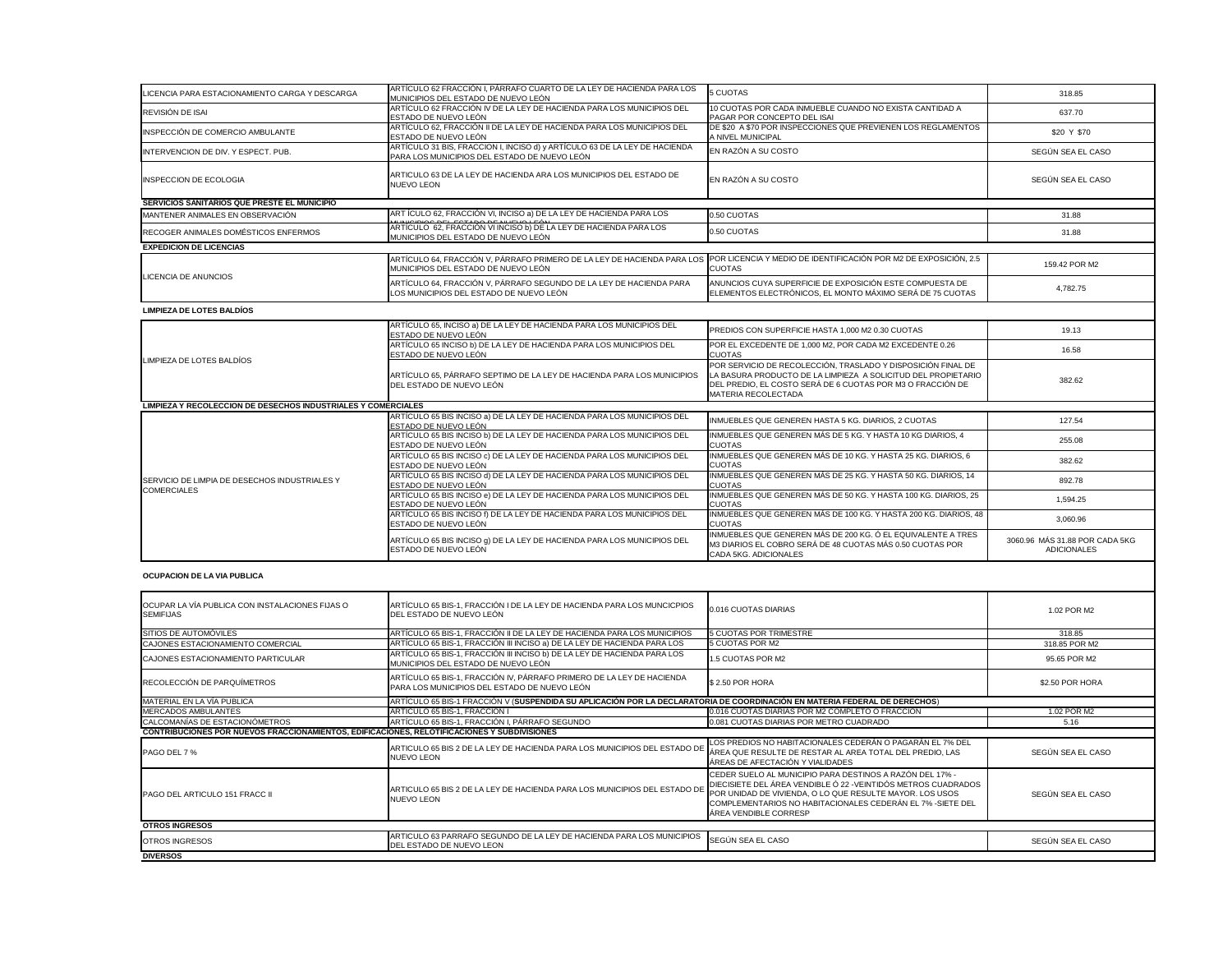| LICENCIA PARA ESTACIONAMIENTO CARGA Y DESCARGA                | ARTÍCULO 62 FRACCIÓN I, PÁRRAFO CUARTO DE LA LEY DE HACIENDA PARA LOS<br>MUNICIPIOS DEL ESTADO DE NUEVO LEÓN               | 5 CUOTAS                                                                  |
|---------------------------------------------------------------|----------------------------------------------------------------------------------------------------------------------------|---------------------------------------------------------------------------|
| REVISIÓN DE ISAI                                              | ARTÍCULO 62 FRACCIÓN IV DE LA LEY DE HACIENDA PARA LOS MUNICIPIOS DEL<br>ESTADO DE NUEVO LEÓN                              | 10 CUOTAS POR<br>PAGAR POR COI                                            |
| INSPECCIÓN DE COMERCIO AMBULANTE                              | ARTÍCULO 62, FRACCIÓN II DE LA LEY DE HACIENDA PARA LOS MUNICIPIOS DEL<br>ESTADO DE NUEVO LEÓN                             | DE \$20 A \$70 PC<br>A NIVEL MUNICIF                                      |
| INTERVENCION DE DIV. Y ESPECT. PUB.                           | ARTÍCULO 31 BIS, FRACCION I, INCISO d) y ARTÍCULO 63 DE LA LEY DE HACIENDA<br>PARA LOS MUNICIPIOS DEL ESTADO DE NUEVO LEÓN | EN RAZÓN A SU                                                             |
| <b>INSPECCION DE ECOLOGIA</b>                                 | ARTICULO 63 DE LA LEY DE HACIENDA ARA LOS MUNICIPIOS DEL ESTADO DE<br><b>NUEVO LEON</b>                                    | EN RAZÓN A SU                                                             |
| SERVICIOS SANITARIOS QUE PRESTE EL MUNICIPIO                  |                                                                                                                            |                                                                           |
| MANTENER ANIMALES EN OBSERVACIÓN                              | ART ÍCULO 62, FRACCIÓN VI, INCISO a) DE LA LEY DE HACIENDA PARA LOS                                                        | 0.50 CUOTAS                                                               |
| RECOGER ANIMALES DOMÉSTICOS ENFERMOS                          | ARTÍCULO 62, FRACCIÓN VI INCISO b) DE LA LEY DE HACIENDA PARA LOS<br>MUNICIPIOS DEL ESTADO DE NUEVO LEÓN                   | 0.50 CUOTAS                                                               |
| <b>EXPEDICION DE LICENCIAS</b>                                |                                                                                                                            |                                                                           |
|                                                               | ARTÍCULO 64, FRACCIÓN V, PÁRRAFO PRIMERO DE LA LEY DE HACIENDA PARA LOS<br>MUNICIPIOS DEL ESTADO DE NUEVO LEÓN             | <b>POR LICENCIA Y</b><br><b>CUOTAS</b>                                    |
| <b>LICENCIA DE ANUNCIOS</b>                                   | ARTÍCULO 64, FRACCIÓN V, PÁRRAFO SEGUNDO DE LA LEY DE HACIENDA PARA<br>LOS MUNICIPIOS DEL ESTADO DE NUEVO LEÓN             | <b>ANUNCIOS CUYA</b><br><b>ELEMENTOS ELE</b>                              |
| <b>LIMPIEZA DE LOTES BALDÍOS</b>                              |                                                                                                                            |                                                                           |
|                                                               | ARTÍCULO 65, INCISO a) DE LA LEY DE HACIENDA PARA LOS MUNICIPIOS DEL<br>ESTADO DE NUEVO LEÓN                               | PREDIOS CON S                                                             |
| LIMPIEZA DE LOTES BALDÍOS                                     | ARTÍCULO 65 INCISO b) DE LA LEY DE HACIENDA PARA LOS MUNICIPIOS DEL<br>ESTADO DE NUEVO LEÓN                                | POR EL EXCEDE<br><b>CUOTAS</b>                                            |
|                                                               | ARTÍCULO 65, PÁRRAFO SEPTIMO DE LA LEY DE HACIENDA PARA LOS MUNICIPIOS<br>DEL ESTADO DE NUEVO LEÓN                         | POR SERVICIO D<br>LA BASURA PRO<br>DEL PREDIO, EL<br><b>MATERIA RECOL</b> |
| LIMPIEZA Y RECOLECCION DE DESECHOS INDUSTRIALES Y COMERCIALES |                                                                                                                            |                                                                           |
|                                                               | ARTÍCULO 65 BIS INCISO a) DE LA LEY DE HACIENDA PARA LOS MUNICIPIOS DEL<br>ESTADO DE NUEVO LEÓN                            | <b>INMUEBLES QUE</b>                                                      |
|                                                               | ARTÍCULO 65 BIS INCISO b) DE LA LEY DE HACIENDA PARA LOS MUNICIPIOS DEL<br>ESTADO DE NUEVO LEÓN                            | <b>INMUEBLES QUE</b><br><b>CUOTAS</b>                                     |
|                                                               | ARTÍCULO 65 BIS INCISO c) DE LA LEY DE HACIENDA PARA LOS MUNICIPIOS DEL<br>ESTADO DE NUEVO LEÓN                            | <b>INMUEBLES QUE</b><br><b>CUOTAS</b>                                     |
| SERVICIO DE LIMPIA DE DESECHOS INDUSTRIALES Y                 | ARTÍCULO 65 BIS INCISO d) DE LA LEY DE HACIENDA PARA LOS MUNICIPIOS DEL<br>ESTADO DE NUEVO LEÓN                            | <b>INMUEBLES QUE</b><br><b>CUOTAS</b>                                     |
| <b>COMERCIALES</b>                                            | ARTÍCULO 65 BIS INCISO e) DE LA LEY DE HACIENDA PARA LOS MUNICIPIOS DEL<br>ESTADO DE NUEVO LEÓN                            | <b>INMUEBLES QUE</b><br><b>CUOTAS</b>                                     |
|                                                               | ARTÍCULO 65 BIS INCISO f) DE LA LEY DE HACIENDA PARA LOS MUNICIPIOS DEL<br>ESTADO DE NUEVO LEÓN                            | <b>INMUEBLES QUE</b><br><b>CUOTAS</b>                                     |
|                                                               |                                                                                                                            |                                                                           |

| LICENCIA PARA ESTACIONAMIENTO CARGA Y DESCARGA                                                                                | ARTÍCULO 62 FRACCIÓN I, PÁRRAFO CUARTO DE LA LEY DE HACIENDA PARA LOS<br>MUNICIPIOS DEL ESTADO DE NUEVO LEÓN                             | 5 CUOTAS                                                                                                                                                                                                                                                                       | 318.85                                               |
|-------------------------------------------------------------------------------------------------------------------------------|------------------------------------------------------------------------------------------------------------------------------------------|--------------------------------------------------------------------------------------------------------------------------------------------------------------------------------------------------------------------------------------------------------------------------------|------------------------------------------------------|
| REVISIÓN DE ISAI                                                                                                              | ARTÍCULO 62 FRACCIÓN IV DE LA LEY DE HACIENDA PARA LOS MUNICIPIOS DEL<br>ESTADO DE NUEVO LEÓN                                            | 10 CUOTAS POR CADA INMUEBLE CUANDO NO EXISTA CANTIDAD A<br>PAGAR POR CONCEPTO DEL ISAI                                                                                                                                                                                         | 637.70                                               |
| INSPECCIÓN DE COMERCIO AMBULANTE                                                                                              | ARTÍCULO 62, FRACCIÓN II DE LA LEY DE HACIENDA PARA LOS MUNICIPIOS DEL<br>ESTADO DE NUEVO LEÓN                                           | DE \$20 A \$70 POR INSPECCIONES QUE PREVIENEN LOS REGLAMENTOS<br>A NIVEL MUNICIPAL                                                                                                                                                                                             | \$20 Y \$70                                          |
| INTERVENCION DE DIV. Y ESPECT. PUB.                                                                                           | ARTÍCULO 31 BIS, FRACCION I, INCISO d) y ARTÍCULO 63 DE LA LEY DE HACIENDA<br>PARA LOS MUNICIPIOS DEL ESTADO DE NUEVO LEÓN               | EN RAZÓN A SU COSTO                                                                                                                                                                                                                                                            | SEGÚN SEA EL CASO                                    |
| <b>INSPECCION DE ECOLOGIA</b>                                                                                                 | ARTICULO 63 DE LA LEY DE HACIENDA ARA LOS MUNICIPIOS DEL ESTADO DE<br><b>NUEVO LEON</b>                                                  | EN RAZÓN A SU COSTO                                                                                                                                                                                                                                                            | SEGÚN SEA EL CASO                                    |
| SERVICIOS SANITARIOS QUE PRESTE EL MUNICIPIO                                                                                  |                                                                                                                                          |                                                                                                                                                                                                                                                                                |                                                      |
| MANTENER ANIMALES EN OBSERVACIÓN                                                                                              | ART ÍCULO 62, FRACCIÓN VI, INCISO a) DE LA LEY DE HACIENDA PARA LOS<br>ARTÍCULO 62, FRACCIÓN VI INCISO b) DE LA LEY DE HACIENDA PARA LOS | 0.50 CUOTAS                                                                                                                                                                                                                                                                    | 31.88                                                |
| RECOGER ANIMALES DOMÉSTICOS ENFERMOS                                                                                          | MUNICIPIOS DEL ESTADO DE NUEVO LEÓN                                                                                                      | 0.50 CUOTAS                                                                                                                                                                                                                                                                    | 31.88                                                |
| <b>EXPEDICION DE LICENCIAS</b>                                                                                                |                                                                                                                                          |                                                                                                                                                                                                                                                                                |                                                      |
| <b>LICENCIA DE ANUNCIOS</b>                                                                                                   | ARTÍCULO 64, FRACCIÓN V, PÁRRAFO PRIMERO DE LA LEY DE HACIENDA PARA LOS<br>MUNICIPIOS DEL ESTADO DE NUEVO LEÓN                           | POR LICENCIA Y MEDIO DE IDENTIFICACIÓN POR M2 DE EXPOSICIÓN, 2.5<br><b>CUOTAS</b>                                                                                                                                                                                              | 159.42 POR M2                                        |
|                                                                                                                               | ARTÍCULO 64, FRACCIÓN V, PÁRRAFO SEGUNDO DE LA LEY DE HACIENDA PARA<br>LOS MUNICIPIOS DEL ESTADO DE NUEVO LEÓN                           | ANUNCIOS CUYA SUPERFICIE DE EXPOSICIÓN ESTE COMPUESTA DE<br>ELEMENTOS ELECTRÓNICOS, EL MONTO MÁXIMO SERÁ DE 75 CUOTAS                                                                                                                                                          | 4,782.75                                             |
| <b>LIMPIEZA DE LOTES BALDÍOS</b>                                                                                              |                                                                                                                                          |                                                                                                                                                                                                                                                                                |                                                      |
|                                                                                                                               | ARTÍCULO 65, INCISO a) DE LA LEY DE HACIENDA PARA LOS MUNICIPIOS DEL<br>ESTADO DE NUEVO LEÓN                                             | PREDIOS CON SUPERFICIE HASTA 1,000 M2 0.30 CUOTAS                                                                                                                                                                                                                              | 19.13                                                |
|                                                                                                                               | ARTÍCULO 65 INCISO b) DE LA LEY DE HACIENDA PARA LOS MUNICIPIOS DEL<br>ESTADO DE NUEVO LEÓN                                              | POR EL EXCEDENTE DE 1,000 M2, POR CADA M2 EXCEDENTE 0.26<br><b>CUOTAS</b>                                                                                                                                                                                                      | 16.58                                                |
| LIMPIEZA DE LOTES BALDÍOS                                                                                                     | ARTÍCULO 65, PÁRRAFO SEPTIMO DE LA LEY DE HACIENDA PARA LOS MUNICIPIOS<br>DEL ESTADO DE NUEVO LEÓN                                       | POR SERVICIO DE RECOLECCIÓN, TRASLADO Y DISPOSICIÓN FINAL DE<br>LA BASURA PRODUCTO DE LA LIMPIEZA A SOLICITUD DEL PROPIETARIO<br>DEL PREDIO, EL COSTO SERÁ DE 6 CUOTAS POR M3 O FRACCIÓN DE<br>MATERIA RECOLECTADA                                                             | 382.62                                               |
| LIMPIEZA Y RECOLECCION DE DESECHOS INDUSTRIALES Y COMERCIALES                                                                 |                                                                                                                                          |                                                                                                                                                                                                                                                                                |                                                      |
|                                                                                                                               | ARTÍCULO 65 BIS INCISO a) DE LA LEY DE HACIENDA PARA LOS MUNICIPIOS DEL<br>ESTADO DE NUEVO LEÓN                                          | INMUEBLES QUE GENEREN HASTA 5 KG. DIARIOS, 2 CUOTAS                                                                                                                                                                                                                            | 127.54                                               |
|                                                                                                                               | ARTÍCULO 65 BIS INCISO b) DE LA LEY DE HACIENDA PARA LOS MUNICIPIOS DEL<br>ESTADO DE NUEVO LEÓN                                          | INMUEBLES QUE GENEREN MÁS DE 5 KG. Y HASTA 10 KG DIARIOS, 4<br><b>CUOTAS</b>                                                                                                                                                                                                   | 255.08                                               |
|                                                                                                                               | ARTÍCULO 65 BIS INCISO c) DE LA LEY DE HACIENDA PARA LOS MUNICIPIOS DEL<br>ESTADO DE NUEVO LEÓN                                          | INMUEBLES QUE GENEREN MÁS DE 10 KG. Y HASTA 25 KG. DIARIOS, 6<br><b>CUOTAS</b>                                                                                                                                                                                                 | 382.62                                               |
| <b>SERVICIO DE LIMPIA DE DESECHOS INDUSTRIALES Y</b>                                                                          | ARTÍCULO 65 BIS INCISO d) DE LA LEY DE HACIENDA PARA LOS MUNICIPIOS DEL<br>ESTADO DE NUEVO LEÓN                                          | INMUEBLES QUE GENEREN MÁS DE 25 KG. Y HASTA 50 KG. DIARIOS, 14<br><b>CUOTAS</b>                                                                                                                                                                                                | 892.78                                               |
| <b>COMERCIALES</b>                                                                                                            | ARTÍCULO 65 BIS INCISO e) DE LA LEY DE HACIENDA PARA LOS MUNICIPIOS DEL<br>ESTADO DE NUEVO LEÓN                                          | INMUEBLES QUE GENEREN MÁS DE 50 KG. Y HASTA 100 KG. DIARIOS, 25<br><b>CUOTAS</b>                                                                                                                                                                                               | 1,594.25                                             |
|                                                                                                                               | ARTÍCULO 65 BIS INCISO f) DE LA LEY DE HACIENDA PARA LOS MUNICIPIOS DEL<br>ESTADO DE NUEVO LEÓN                                          | INMUEBLES QUE GENEREN MÁS DE 100 KG. Y HASTA 200 KG. DIARIOS, 48<br><b>CUOTAS</b>                                                                                                                                                                                              | 3,060.96                                             |
|                                                                                                                               | ARTÍCULO 65 BIS INCISO g) DE LA LEY DE HACIENDA PARA LOS MUNICIPIOS DEL<br>ESTADO DE NUEVO LEÓN                                          | INMUEBLES QUE GENEREN MÁS DE 200 KG. Ó EL EQUIVALENTE A TRES<br>M3 DIARIOS EL COBRO SERÁ DE 48 CUOTAS MÁS 0.50 CUOTAS POR<br>CADA 5KG. ADICIONALES                                                                                                                             | 3060.96 MÁS 31.88 POR CADA 5KG<br><b>ADICIONALES</b> |
| <b>OCUPACION DE LA VIA PUBLICA</b>                                                                                            |                                                                                                                                          |                                                                                                                                                                                                                                                                                |                                                      |
| OCUPAR LA VÍA PUBLICA CON INSTALACIONES FIJAS O<br><b>SEMIFIJAS</b>                                                           | ARTÍCULO 65 BIS-1, FRACCIÓN I DE LA LEY DE HACIENDA PARA LOS MUNCICPIOS<br>DEL ESTADO DE NUEVO LEÓN                                      | 0.016 CUOTAS DIARIAS                                                                                                                                                                                                                                                           | 1.02 POR M2                                          |
| SITIOS DE AUTOMÓVILES                                                                                                         | ARTÍCULO 65 BIS-1, FRACCIÓN II DE LA LEY DE HACIENDA PARA LOS MUNICIPIOS                                                                 | <b>5 CUOTAS POR TRIMESTRE</b>                                                                                                                                                                                                                                                  | 318.85                                               |
| CAJONES ESTACIONAMIENTO COMERCIAL                                                                                             | ARTÍCULO 65 BIS-1, FRACCIÓN III INCISO a) DE LA LEY DE HACIENDA PARA LOS                                                                 | 5 CUOTAS POR M2                                                                                                                                                                                                                                                                | 318.85 POR M2                                        |
| CAJONES ESTACIONAMIENTO PARTICULAR                                                                                            | ARTÍCULO 65 BIS-1, FRACCIÓN III INCISO b) DE LA LEY DE HACIENDA PARA LOS<br>MUNICIPIOS DEL ESTADO DE NUEVO LEÓN                          | 1.5 CUOTAS POR M2                                                                                                                                                                                                                                                              | 95.65 POR M2                                         |
| RECOLECCIÓN DE PARQUÍMETROS                                                                                                   | ARTÍCULO 65 BIS-1, FRACCIÓN IV, PÁRRAFO PRIMERO DE LA LEY DE HACIENDA<br>PARA LOS MUNICIPIOS DEL ESTADO DE NUEVO LEÓN                    | \$2.50 POR HORA                                                                                                                                                                                                                                                                | \$2.50 POR HORA                                      |
| MATERIAL EN LA VÍA PUBLICA                                                                                                    | ARTÍCULO 65 BIS-1 FRACCIÓN V (SUSPENDIDA SU APLICACIÓN POR LA DECLARATORIA DE COORDINACIÓN EN MATERIA FEDERAL DE DERECHOS)               |                                                                                                                                                                                                                                                                                |                                                      |
| MERCADOS AMBULANTES                                                                                                           | ARTÍCULO 65 BIS-1, FRACCIÓN I                                                                                                            | 0.016 CUOTAS DIARIAS POR M2 COMPLETO O FRACCION                                                                                                                                                                                                                                | 1.02 POR M2                                          |
| CALCOMANÍAS DE ESTACIONÓMETROS<br>CONTRIBUCIONES POR NUEVOS FRACCIONAMIENTOS, EDIFICACIONES, RELOTIFICACIONES Y SUBDIVISIONES | ARTÍCULO 65 BIS-1, FRACCIÓN I, PÁRRAFO SEGUNDO                                                                                           | 0.081 CUOTAS DIARIAS POR METRO CUADRADO                                                                                                                                                                                                                                        | 5.16                                                 |
|                                                                                                                               |                                                                                                                                          | LOS PREDIOS NO HABITACIONALES CEDERÁN O PAGARÁN EL 7% DEL                                                                                                                                                                                                                      |                                                      |
| PAGO DEL 7 %                                                                                                                  | ARTICULO 65 BIS 2 DE LA LEY DE HACIENDA PARA LOS MUNICIPIOS DEL ESTADO DE<br>NUEVO LEON                                                  | ÁREA QUE RESULTE DE RESTAR AL AREA TOTAL DEL PREDIO, LAS<br>ÁREAS DE AFECTACIÓN Y VIALIDADES                                                                                                                                                                                   | SEGÚN SEA EL CASO                                    |
| PAGO DEL ARTICULO 151 FRACC II                                                                                                | ARTICULO 65 BIS 2 DE LA LEY DE HACIENDA PARA LOS MUNICIPIOS DEL ESTADO D<br><b>NUEVO LEON</b>                                            | CEDER SUELO AL MUNICIPIO PARA DESTINOS A RAZÓN DEL 17% -<br>DIECISIETE DEL ÁREA VENDIBLE Ó 22 - VEINTIDÓS METROS CUADRADOS<br>POR UNIDAD DE VIVIENDA, O LO QUE RESULTE MAYOR. LOS USOS<br>COMPLEMENTARIOS NO HABITACIONALES CEDERÁN EL 7% - SIETE DEL<br>ÁREA VENDIBLE CORRESP | SEGÚN SEA EL CASO                                    |
| <b>OTROS INGRESOS</b>                                                                                                         |                                                                                                                                          |                                                                                                                                                                                                                                                                                |                                                      |
| <b>OTROS INGRESOS</b>                                                                                                         | ARTICULO 63 PARRAFO SEGUNDO DE LA LEY DE HACIENDA PARA LOS MUNICIPIOS<br>DEL ESTADO DE NUEVO LEON                                        | SEGÚN SEA EL CASO                                                                                                                                                                                                                                                              | SEGÚN SEA EL CASO                                    |
| <b>DIVERSOS</b>                                                                                                               |                                                                                                                                          |                                                                                                                                                                                                                                                                                |                                                      |

## **OCUPACION DE LA VIA PUBLICA**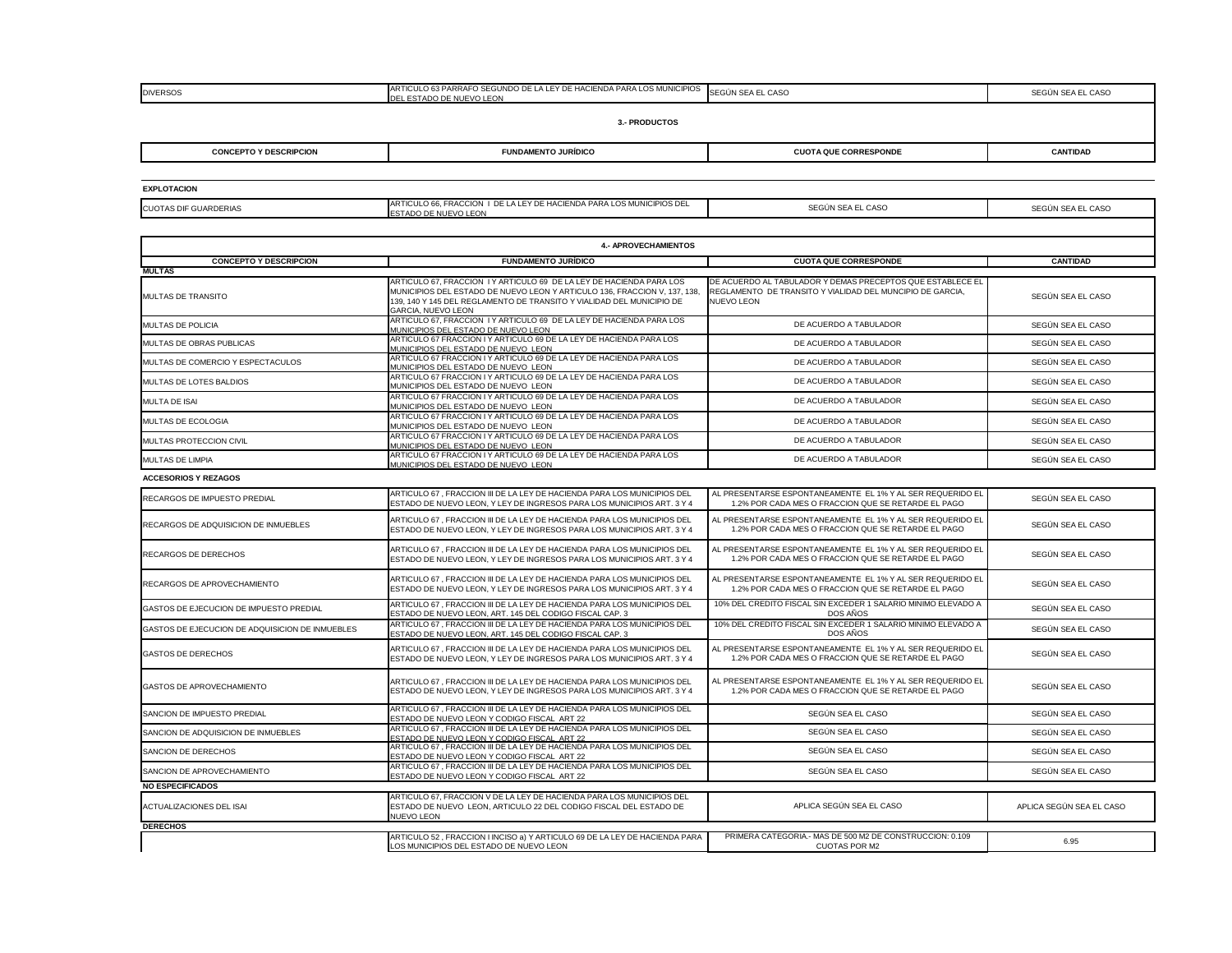| <b>ICUO</b><br>AS DIF GUARDERIAS<br>∠∆ ∆ | <b><i>CIPIOS DEL</i></b><br><b>PARA</b><br><b>FRACCION</b><br>. LOS MUN<br>' DE HACIENDA P<br>DE.<br>RTICULO 66.<br>I FY<br>'Ak<br>" INIU<br>$\mathbf{A}$ |
|------------------------------------------|-----------------------------------------------------------------------------------------------------------------------------------------------------------|
|                                          | ) DE NUEVO I FON<br>~ ' A'                                                                                                                                |
|                                          |                                                                                                                                                           |

| <b>DIVERSOS</b>               | ARTICULO 63 PARRAFO SEGUNDO DE LA LEY DE HACIENDA PARA LOS MUNICIPIOS SEGUN SEA EL CASO<br>DEL ESTADO DE NUEVO LEON |                              | SEGÚN SEA EL CASO |
|-------------------------------|---------------------------------------------------------------------------------------------------------------------|------------------------------|-------------------|
|                               | <b>3.- PRODUCTOS</b>                                                                                                |                              |                   |
| <b>CONCEPTO Y DESCRIPCION</b> | <b>FUNDAMENTO JURÍDICO</b>                                                                                          | <b>CUOTA QUE CORRESPONDE</b> | <b>CANTIDAD</b>   |
|                               |                                                                                                                     |                              |                   |

| <b>DIVERSOS</b>               | ARTICULO 63 PARRAFO SEGUNDO DE LA LEY DE HACIENDA PARA LOS MUNICIPIOS SEGÚN SEA EL CASO<br>DEL ESTADO DE NUEVO LEON |                              | SEGÚN SEA EL CASO |
|-------------------------------|---------------------------------------------------------------------------------------------------------------------|------------------------------|-------------------|
|                               | <b>3.- PRODUCTOS</b>                                                                                                |                              |                   |
| <b>CONCEPTO Y DESCRIPCION</b> | <b>FUNDAMENTO JURÍDICO</b>                                                                                          | <b>CUOTA QUE CORRESPONDE</b> | <b>CANTIDAD</b>   |
|                               |                                                                                                                     |                              |                   |

| <b>CUOTAS DIF GUARDERIAS</b>                    | ARTICULO 66, FRACCION I DE LA LEY DE HACIENDA PARA LOS MUNICIPIOS DEL<br>ESTADO DE NUEVO LEON                                                                                                                                                           | SEGÚN SEA EL CASO                                                                                                                            | SEGÚN SEA EL CASO        |  |  |
|-------------------------------------------------|---------------------------------------------------------------------------------------------------------------------------------------------------------------------------------------------------------------------------------------------------------|----------------------------------------------------------------------------------------------------------------------------------------------|--------------------------|--|--|
|                                                 |                                                                                                                                                                                                                                                         |                                                                                                                                              |                          |  |  |
| <b>4.- APROVECHAMIENTOS</b>                     |                                                                                                                                                                                                                                                         |                                                                                                                                              |                          |  |  |
| <b>CONCEPTO Y DESCRIPCION</b>                   | <b>FUNDAMENTO JURÍDICO</b>                                                                                                                                                                                                                              | <b>CUOTA QUE CORRESPONDE</b>                                                                                                                 | <b>CANTIDAD</b>          |  |  |
| <b>MULTAS</b>                                   |                                                                                                                                                                                                                                                         |                                                                                                                                              |                          |  |  |
| <b>MULTAS DE TRANSITO</b>                       | ARTICULO 67, FRACCION I Y ARTICULO 69 DE LA LEY DE HACIENDA PARA LOS<br>MUNICIPIOS DEL ESTADO DE NUEVO LEON Y ARTICULO 136, FRACCION V, 137, 138,<br>139, 140 Y 145 DEL REGLAMENTO DE TRANSITO Y VIALIDAD DEL MUNICIPIO DE<br><b>GARCIA, NUEVO LEON</b> | DE ACUERDO AL TABULADOR Y DEMAS PRECEPTOS QUE ESTABLECE EL<br>REGLAMENTO DE TRANSITO Y VIALIDAD DEL MUNCIPIO DE GARCIA,<br><b>NUEVO LEON</b> | SEGÚN SEA EL CASO        |  |  |
| <b>IMULTAS DE POLICIA</b>                       | ARTICULO 67, FRACCION I Y ARTICULO 69 DE LA LEY DE HACIENDA PARA LOS<br>MUNICIPIOS DEL ESTADO DE NUEVO LEON                                                                                                                                             | DE ACUERDO A TABULADOR                                                                                                                       | SEGÚN SEA EL CASO        |  |  |
| MULTAS DE OBRAS PUBLICAS                        | ARTICULO 67 FRACCION I Y ARTICULO 69 DE LA LEY DE HACIENDA PARA LOS<br>MUNICIPIOS DEL ESTADO DE NUEVO LEON                                                                                                                                              | DE ACUERDO A TABULADOR                                                                                                                       | SEGÚN SEA EL CASO        |  |  |
| MULTAS DE COMERCIO Y ESPECTACULOS               | ARTICULO 67 FRACCION I Y ARTICULO 69 DE LA LEY DE HACIENDA PARA LOS<br>MUNICIPIOS DEL ESTADO DE NUEVO LEON                                                                                                                                              | DE ACUERDO A TABULADOR                                                                                                                       | SEGÚN SEA EL CASO        |  |  |
| MULTAS DE LOTES BALDIOS                         | ARTICULO 67 FRACCION I Y ARTICULO 69 DE LA LEY DE HACIENDA PARA LOS<br>MUNICIPIOS DEL ESTADO DE NUEVO LEON                                                                                                                                              | DE ACUERDO A TABULADOR                                                                                                                       | SEGÚN SEA EL CASO        |  |  |
| <b>MULTA DE ISAI</b>                            | ARTICULO 67 FRACCION I Y ARTICULO 69 DE LA LEY DE HACIENDA PARA LOS<br>MUNICIPIOS DEL ESTADO DE NUEVO LEON                                                                                                                                              | DE ACUERDO A TABULADOR                                                                                                                       | SEGÚN SEA EL CASO        |  |  |
| MULTAS DE ECOLOGIA                              | ARTICULO 67 FRACCION I Y ARTICULO 69 DE LA LEY DE HACIENDA PARA LOS<br>MUNICIPIOS DEL ESTADO DE NUEVO LEON                                                                                                                                              | DE ACUERDO A TABULADOR                                                                                                                       | SEGÚN SEA EL CASO        |  |  |
| MULTAS PROTECCION CIVIL                         | ARTICULO 67 FRACCION I Y ARTICULO 69 DE LA LEY DE HACIENDA PARA LOS<br>MUNICIPIOS DEL ESTADO DE NUEVO LEON                                                                                                                                              | DE ACUERDO A TABULADOR                                                                                                                       | SEGÚN SEA EL CASO        |  |  |
| MULTAS DE LIMPIA                                | ARTICULO 67 FRACCION I Y ARTICULO 69 DE LA LEY DE HACIENDA PARA LOS<br>MUNICIPIOS DEL ESTADO DE NUEVO LEON                                                                                                                                              | DE ACUERDO A TABULADOR                                                                                                                       | SEGÚN SEA EL CASO        |  |  |
| <b>ACCESORIOS Y REZAGOS</b>                     |                                                                                                                                                                                                                                                         |                                                                                                                                              |                          |  |  |
| <b>RECARGOS DE IMPUESTO PREDIAL</b>             | ARTICULO 67, FRACCION III DE LA LEY DE HACIENDA PARA LOS MUNICIPIOS DEL<br>ESTADO DE NUEVO LEON, Y LEY DE INGRESOS PARA LOS MUNICIPIOS ART. 3 Y 4                                                                                                       | AL PRESENTARSE ESPONTANEAMENTE EL 1% Y AL SER REQUERIDO EL<br>1.2% POR CADA MES O FRACCION QUE SE RETARDE EL PAGO                            | SEGÚN SEA EL CASO        |  |  |
| RECARGOS DE ADQUISICION DE INMUEBLES            | ARTICULO 67 , FRACCION III DE LA LEY DE HACIENDA PARA LOS MUNICIPIOS DEL<br>ESTADO DE NUEVO LEON, Y LEY DE INGRESOS PARA LOS MUNICIPIOS ART. 3 Y 4                                                                                                      | AL PRESENTARSE ESPONTANEAMENTE EL 1% Y AL SER REQUERIDO EL<br>1.2% POR CADA MES O FRACCION QUE SE RETARDE EL PAGO                            | SEGÚN SEA EL CASO        |  |  |
| <b>RECARGOS DE DERECHOS</b>                     | ARTICULO 67, FRACCION III DE LA LEY DE HACIENDA PARA LOS MUNICIPIOS DEL<br>ESTADO DE NUEVO LEON, Y LEY DE INGRESOS PARA LOS MUNICIPIOS ART. 3 Y 4                                                                                                       | AL PRESENTARSE ESPONTANEAMENTE EL 1% Y AL SER REQUERIDO EL<br>1.2% POR CADA MES O FRACCION QUE SE RETARDE EL PAGO                            | SEGÚN SEA EL CASO        |  |  |
| RECARGOS DE APROVECHAMIENTO                     | ARTICULO 67, FRACCION III DE LA LEY DE HACIENDA PARA LOS MUNICIPIOS DEL<br>ESTADO DE NUEVO LEON, Y LEY DE INGRESOS PARA LOS MUNICIPIOS ART. 3 Y 4                                                                                                       | AL PRESENTARSE ESPONTANEAMENTE EL 1% Y AL SER REQUERIDO EL<br>1.2% POR CADA MES O FRACCION QUE SE RETARDE EL PAGO                            | SEGÚN SEA EL CASO        |  |  |
| GASTOS DE EJECUCION DE IMPUESTO PREDIAL         | ARTICULO 67 . FRACCION III DE LA LEY DE HACIENDA PARA LOS MUNICIPIOS DEL<br>ESTADO DE NUEVO LEON, ART. 145 DEL CODIGO FISCAL CAP. 3                                                                                                                     | 10% DEL CREDITO FISCAL SIN EXCEDER 1 SALARIO MINIMO ELEVADO A<br>DOS AÑOS                                                                    | SEGÚN SEA EL CASO        |  |  |
| GASTOS DE EJECUCION DE ADQUISICION DE INMUEBLES | ARTICULO 67, FRACCION III DE LA LEY DE HACIENDA PARA LOS MUNICIPIOS DEL<br>ESTADO DE NUEVO LEON, ART. 145 DEL CODIGO FISCAL CAP. 3                                                                                                                      | 10% DEL CREDITO FISCAL SIN EXCEDER 1 SALARIO MINIMO ELEVADO A<br>DOS AÑOS                                                                    | SEGÚN SEA EL CASO        |  |  |
| <b>GASTOS DE DERECHOS</b>                       | ARTICULO 67, FRACCION III DE LA LEY DE HACIENDA PARA LOS MUNICIPIOS DEL<br>ESTADO DE NUEVO LEON, Y LEY DE INGRESOS PARA LOS MUNICIPIOS ART. 3 Y 4                                                                                                       | AL PRESENTARSE ESPONTANEAMENTE EL 1% Y AL SER REQUERIDO EL<br>1.2% POR CADA MES O FRACCION QUE SE RETARDE EL PAGO                            | SEGÚN SEA EL CASO        |  |  |
| <b>GASTOS DE APROVECHAMIENTO</b>                | ARTICULO 67 , FRACCION III DE LA LEY DE HACIENDA PARA LOS MUNICIPIOS DEL<br>ESTADO DE NUEVO LEON, Y LEY DE INGRESOS PARA LOS MUNICIPIOS ART. 3 Y 4                                                                                                      | AL PRESENTARSE ESPONTANEAMENTE EL 1% Y AL SER REQUERIDO EL<br>1.2% POR CADA MES O FRACCION QUE SE RETARDE EL PAGO                            | SEGÚN SEA EL CASO        |  |  |
| SANCION DE IMPUESTO PREDIAL                     | ARTICULO 67, FRACCION III DE LA LEY DE HACIENDA PARA LOS MUNICIPIOS DEL<br>ESTADO DE NUEVO LEON Y CODIGO FISCAL ART 22                                                                                                                                  | SEGÚN SEA EL CASO                                                                                                                            | SEGÚN SEA EL CASO        |  |  |
| SANCION DE ADQUISICION DE INMUEBLES             | ARTICULO 67, FRACCION III DE LA LEY DE HACIENDA PARA LOS MUNICIPIOS DEL<br>ESTADO DE NUEVO LEON Y CODIGO FISCAL ART 22                                                                                                                                  | SEGÚN SEA EL CASO                                                                                                                            | SEGÚN SEA EL CASO        |  |  |
| <b>SANCION DE DERECHOS</b>                      | ARTICULO 67, FRACCION III DE LA LEY DE HACIENDA PARA LOS MUNICIPIOS DEL<br>ESTADO DE NUEVO LEON Y CODIGO FISCAL ART 22                                                                                                                                  | SEGÚN SEA EL CASO                                                                                                                            | SEGÚN SEA EL CASO        |  |  |
| <b>SANCION DE APROVECHAMIENTO</b>               | ARTICULO 67, FRACCION III DE LA LEY DE HACIENDA PARA LOS MUNICIPIOS DEL<br>ESTADO DE NUEVO LEON Y CODIGO FISCAL ART 22                                                                                                                                  | SEGÚN SEA EL CASO                                                                                                                            | SEGÚN SEA EL CASO        |  |  |
| <b>NO ESPECIFICADOS</b>                         |                                                                                                                                                                                                                                                         |                                                                                                                                              |                          |  |  |
| <b>ACTUALIZACIONES DEL ISAI</b>                 | ARTICULO 67, FRACCION V DE LA LEY DE HACIENDA PARA LOS MUNICIPIOS DEL<br>ESTADO DE NUEVO LEON, ARTICULO 22 DEL CODIGO FISCAL DEL ESTADO DE<br><b>NUEVO LEON</b>                                                                                         | APLICA SEGÚN SEA EL CASO                                                                                                                     | APLICA SEGÚN SEA EL CASO |  |  |
| <b>DERECHOS</b>                                 |                                                                                                                                                                                                                                                         |                                                                                                                                              |                          |  |  |
|                                                 | ARTICULO 52, FRACCION I INCISO a) Y ARTICULO 69 DE LA LEY DE HACIENDA PARA<br>LOS MUNICIPIOS DEL ESTADO DE NUEVO LEON                                                                                                                                   | PRIMERA CATEGORIA.- MAS DE 500 M2 DE CONSTRUCCION: 0.109<br><b>CUOTAS POR M2</b>                                                             | 6.95                     |  |  |

**EXPLOTACION**